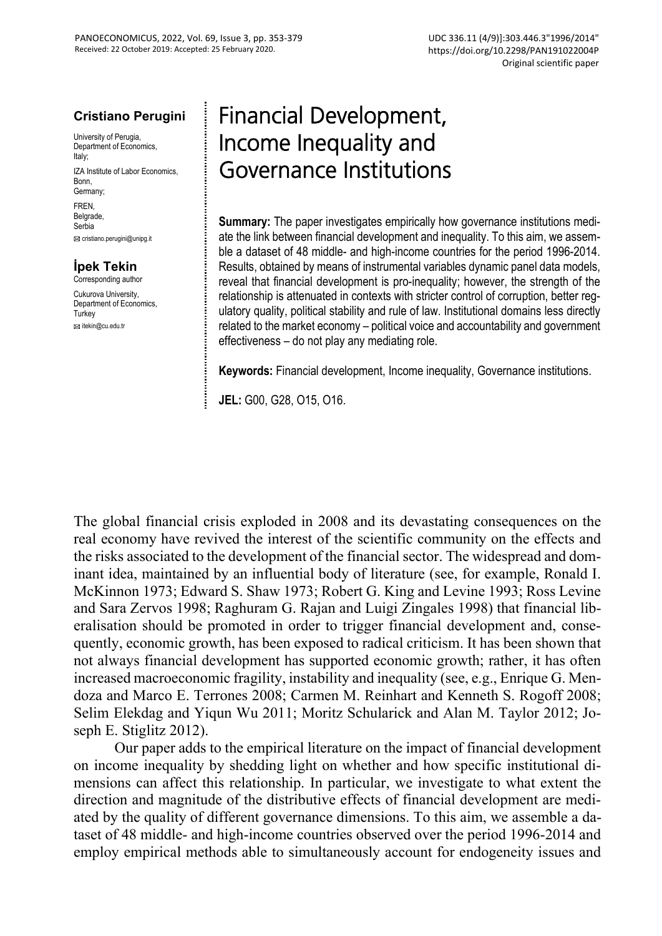#### **Cristiano Perugini**

University of Perugia, Department of Economics, Italy; IZA Institute of Labor Economics, Bonn, Germany; FREN, **Belgrade** 

Serbia

cristiano.perugini@unipg.it

### **İpek Tekin**

Corresponding author Cukurova University,

Department of Economics. **Turkey** itekin@cu.edu.tr

# Financial Development, Income Inequality and Governance Institutions

**Summary:** The paper investigates empirically how governance institutions mediate the link between financial development and inequality. To this aim, we assemble a dataset of 48 middle- and high-income countries for the period 1996-2014. Results, obtained by means of instrumental variables dynamic panel data models, reveal that financial development is pro-inequality; however, the strength of the relationship is attenuated in contexts with stricter control of corruption, better regulatory quality, political stability and rule of law. Institutional domains less directly related to the market economy – political voice and accountability and government effectiveness – do not play any mediating role.

**Keywords:** Financial development, Income inequality, Governance institutions.

**JEL:** G00, G28, O15, O16.

The global financial crisis exploded in 2008 and its devastating consequences on the real economy have revived the interest of the scientific community on the effects and the risks associated to the development of the financial sector. The widespread and dominant idea, maintained by an influential body of literature (see, for example, Ronald I. McKinnon 1973; Edward S. Shaw 1973; Robert G. King and Levine 1993; Ross Levine and Sara Zervos 1998; Raghuram G. Rajan and Luigi Zingales 1998) that financial liberalisation should be promoted in order to trigger financial development and, consequently, economic growth, has been exposed to radical criticism. It has been shown that not always financial development has supported economic growth; rather, it has often increased macroeconomic fragility, instability and inequality (see, e.g., Enrique G. Mendoza and Marco E. Terrones 2008; Carmen M. Reinhart and Kenneth S. Rogoff 2008; Selim Elekdag and Yiqun Wu 2011; Moritz Schularick and Alan M. Taylor 2012; Joseph E. Stiglitz 2012).

Our paper adds to the empirical literature on the impact of financial development on income inequality by shedding light on whether and how specific institutional dimensions can affect this relationship. In particular, we investigate to what extent the direction and magnitude of the distributive effects of financial development are mediated by the quality of different governance dimensions. To this aim, we assemble a dataset of 48 middle- and high-income countries observed over the period 1996-2014 and employ empirical methods able to simultaneously account for endogeneity issues and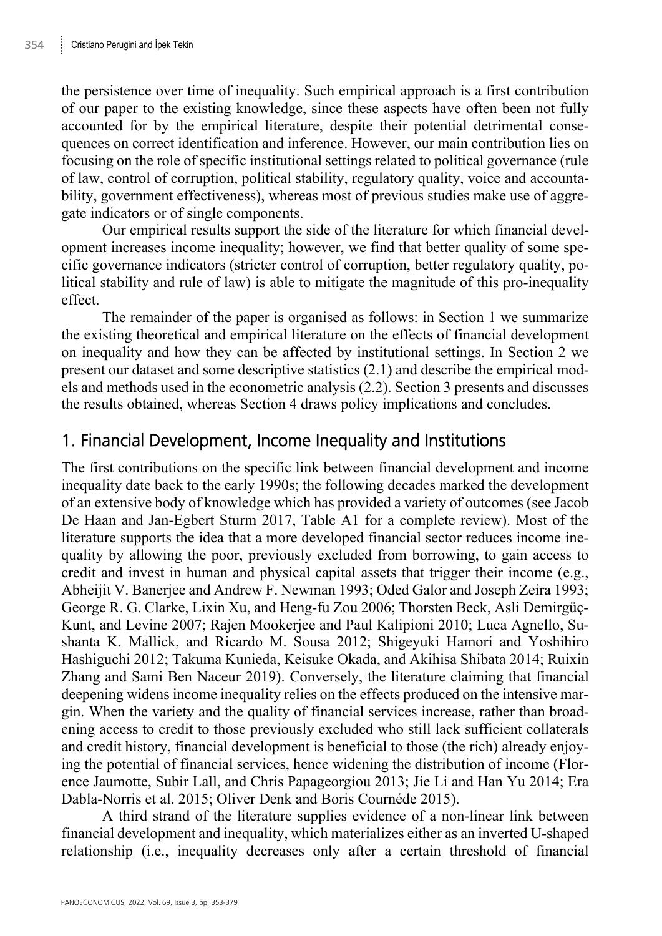the persistence over time of inequality. Such empirical approach is a first contribution of our paper to the existing knowledge, since these aspects have often been not fully accounted for by the empirical literature, despite their potential detrimental consequences on correct identification and inference. However, our main contribution lies on focusing on the role of specific institutional settings related to political governance (rule of law, control of corruption, political stability, regulatory quality, voice and accountability, government effectiveness), whereas most of previous studies make use of aggregate indicators or of single components.

Our empirical results support the side of the literature for which financial development increases income inequality; however, we find that better quality of some specific governance indicators (stricter control of corruption, better regulatory quality, political stability and rule of law) is able to mitigate the magnitude of this pro-inequality effect.

The remainder of the paper is organised as follows: in Section 1 we summarize the existing theoretical and empirical literature on the effects of financial development on inequality and how they can be affected by institutional settings. In Section 2 we present our dataset and some descriptive statistics (2.1) and describe the empirical models and methods used in the econometric analysis (2.2). Section 3 presents and discusses the results obtained, whereas Section 4 draws policy implications and concludes.

### 1. Financial Development, Income Inequality and Institutions

The first contributions on the specific link between financial development and income inequality date back to the early 1990s; the following decades marked the development of an extensive body of knowledge which has provided a variety of outcomes (see Jacob De Haan and Jan-Egbert Sturm 2017, Table A1 for a complete review). Most of the literature supports the idea that a more developed financial sector reduces income inequality by allowing the poor, previously excluded from borrowing, to gain access to credit and invest in human and physical capital assets that trigger their income (e.g., Abheijit V. Banerjee and Andrew F. Newman 1993; Oded Galor and Joseph Zeira 1993; George R. G. Clarke, Lixin Xu, and Heng-fu Zou 2006; Thorsten Beck, Asli Demirgüç-Kunt, and Levine 2007; Rajen Mookerjee and Paul Kalipioni 2010; Luca Agnello, Sushanta K. Mallick, and Ricardo M. Sousa 2012; Shigeyuki Hamori and Yoshihiro Hashiguchi 2012; Takuma Kunieda, Keisuke Okada, and Akihisa Shibata 2014; Ruixin Zhang and Sami Ben Naceur 2019). Conversely, the literature claiming that financial deepening widens income inequality relies on the effects produced on the intensive margin. When the variety and the quality of financial services increase, rather than broadening access to credit to those previously excluded who still lack sufficient collaterals and credit history, financial development is beneficial to those (the rich) already enjoying the potential of financial services, hence widening the distribution of income (Florence Jaumotte, Subir Lall, and Chris Papageorgiou 2013; Jie Li and Han Yu 2014; Era Dabla-Norris et al. 2015; Oliver Denk and Boris Cournéde 2015).

A third strand of the literature supplies evidence of a non-linear link between financial development and inequality, which materializes either as an inverted U-shaped relationship (i.e., inequality decreases only after a certain threshold of financial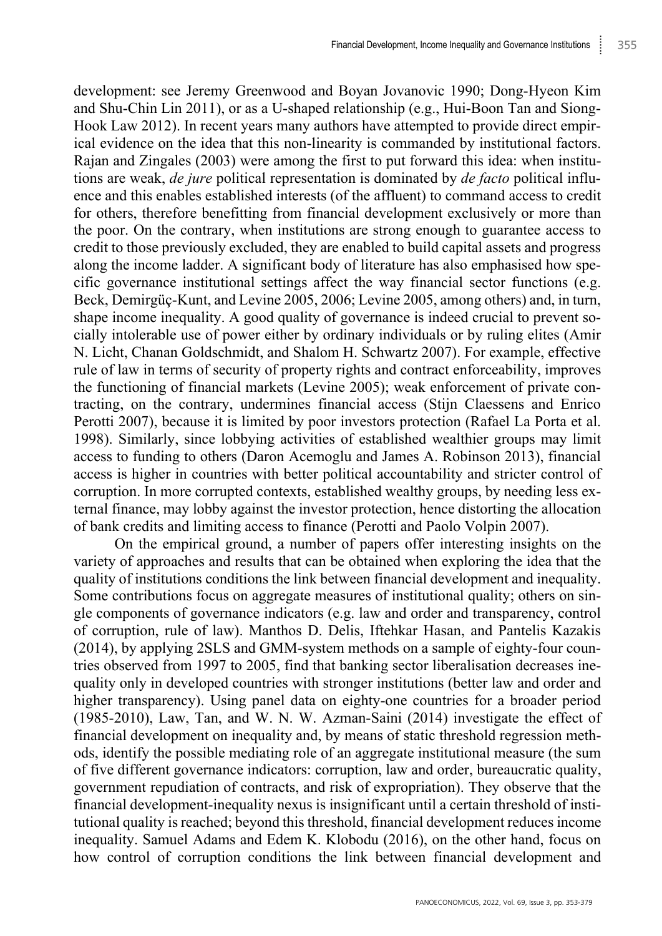development: see Jeremy Greenwood and Boyan Jovanovic 1990; Dong-Hyeon Kim and Shu-Chin Lin 2011), or as a U-shaped relationship (e.g., Hui-Boon Tan and Siong-Hook Law 2012). In recent years many authors have attempted to provide direct empirical evidence on the idea that this non-linearity is commanded by institutional factors. Rajan and Zingales (2003) were among the first to put forward this idea: when institutions are weak, *de jure* political representation is dominated by *de facto* political influence and this enables established interests (of the affluent) to command access to credit for others, therefore benefitting from financial development exclusively or more than the poor. On the contrary, when institutions are strong enough to guarantee access to credit to those previously excluded, they are enabled to build capital assets and progress along the income ladder. A significant body of literature has also emphasised how specific governance institutional settings affect the way financial sector functions (e.g. Beck, Demirgüç-Kunt, and Levine 2005, 2006; Levine 2005, among others) and, in turn, shape income inequality. A good quality of governance is indeed crucial to prevent socially intolerable use of power either by ordinary individuals or by ruling elites (Amir N. Licht, Chanan Goldschmidt, and Shalom H. Schwartz 2007). For example, effective rule of law in terms of security of property rights and contract enforceability, improves the functioning of financial markets (Levine 2005); weak enforcement of private contracting, on the contrary, undermines financial access (Stijn Claessens and Enrico Perotti 2007), because it is limited by poor investors protection (Rafael La Porta et al. 1998). Similarly, since lobbying activities of established wealthier groups may limit access to funding to others (Daron Acemoglu and James A. Robinson 2013), financial access is higher in countries with better political accountability and stricter control of corruption. In more corrupted contexts, established wealthy groups, by needing less external finance, may lobby against the investor protection, hence distorting the allocation of bank credits and limiting access to finance (Perotti and Paolo Volpin 2007).

On the empirical ground, a number of papers offer interesting insights on the variety of approaches and results that can be obtained when exploring the idea that the quality of institutions conditions the link between financial development and inequality. Some contributions focus on aggregate measures of institutional quality; others on single components of governance indicators (e.g. law and order and transparency, control of corruption, rule of law). Manthos D. Delis, Iftehkar Hasan, and Pantelis Kazakis (2014), by applying 2SLS and GMM-system methods on a sample of eighty-four countries observed from 1997 to 2005, find that banking sector liberalisation decreases inequality only in developed countries with stronger institutions (better law and order and higher transparency). Using panel data on eighty-one countries for a broader period (1985-2010), Law, Tan, and W. N. W. Azman-Saini (2014) investigate the effect of financial development on inequality and, by means of static threshold regression methods, identify the possible mediating role of an aggregate institutional measure (the sum of five different governance indicators: corruption, law and order, bureaucratic quality, government repudiation of contracts, and risk of expropriation). They observe that the financial development-inequality nexus is insignificant until a certain threshold of institutional quality is reached; beyond this threshold, financial development reduces income inequality. Samuel Adams and Edem K. Klobodu (2016), on the other hand, focus on how control of corruption conditions the link between financial development and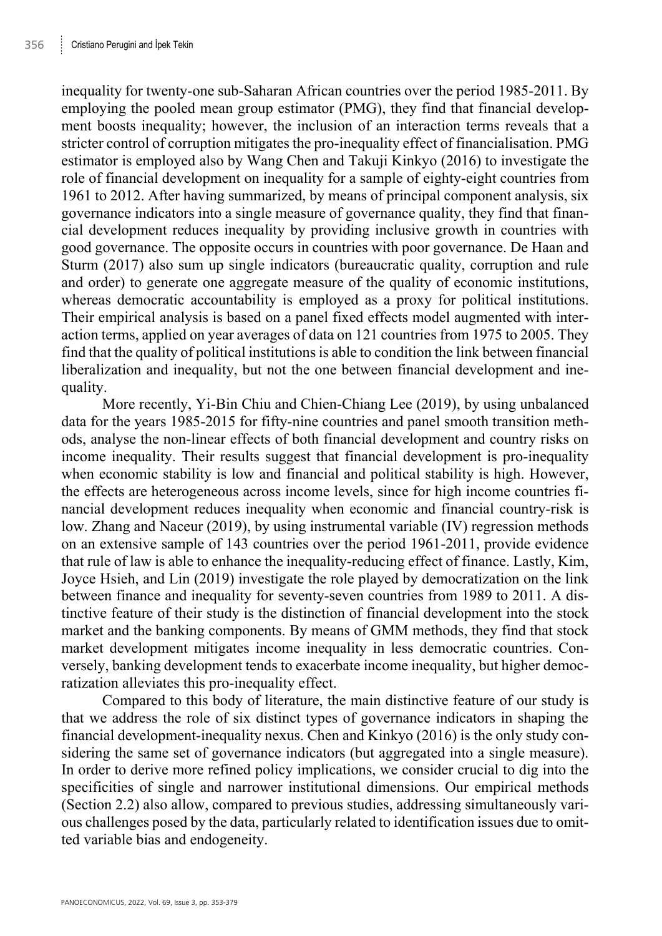inequality for twenty-one sub-Saharan African countries over the period 1985-2011. By employing the pooled mean group estimator (PMG), they find that financial development boosts inequality; however, the inclusion of an interaction terms reveals that a stricter control of corruption mitigates the pro-inequality effect of financialisation. PMG estimator is employed also by Wang Chen and Takuji Kinkyo (2016) to investigate the role of financial development on inequality for a sample of eighty-eight countries from 1961 to 2012. After having summarized, by means of principal component analysis, six governance indicators into a single measure of governance quality, they find that financial development reduces inequality by providing inclusive growth in countries with good governance. The opposite occurs in countries with poor governance. De Haan and Sturm (2017) also sum up single indicators (bureaucratic quality, corruption and rule and order) to generate one aggregate measure of the quality of economic institutions, whereas democratic accountability is employed as a proxy for political institutions. Their empirical analysis is based on a panel fixed effects model augmented with interaction terms, applied on year averages of data on 121 countries from 1975 to 2005. They find that the quality of political institutions is able to condition the link between financial liberalization and inequality, but not the one between financial development and inequality.

More recently, Yi-Bin Chiu and Chien-Chiang Lee (2019), by using unbalanced data for the years 1985-2015 for fifty-nine countries and panel smooth transition methods, analyse the non-linear effects of both financial development and country risks on income inequality. Their results suggest that financial development is pro-inequality when economic stability is low and financial and political stability is high. However, the effects are heterogeneous across income levels, since for high income countries financial development reduces inequality when economic and financial country-risk is low. Zhang and Naceur (2019), by using instrumental variable (IV) regression methods on an extensive sample of 143 countries over the period 1961-2011, provide evidence that rule of law is able to enhance the inequality-reducing effect of finance. Lastly, Kim, Joyce Hsieh, and Lin (2019) investigate the role played by democratization on the link between finance and inequality for seventy-seven countries from 1989 to 2011. A distinctive feature of their study is the distinction of financial development into the stock market and the banking components. By means of GMM methods, they find that stock market development mitigates income inequality in less democratic countries. Conversely, banking development tends to exacerbate income inequality, but higher democratization alleviates this pro-inequality effect.

Compared to this body of literature, the main distinctive feature of our study is that we address the role of six distinct types of governance indicators in shaping the financial development-inequality nexus. Chen and Kinkyo (2016) is the only study considering the same set of governance indicators (but aggregated into a single measure). In order to derive more refined policy implications, we consider crucial to dig into the specificities of single and narrower institutional dimensions. Our empirical methods (Section 2.2) also allow, compared to previous studies, addressing simultaneously various challenges posed by the data, particularly related to identification issues due to omitted variable bias and endogeneity.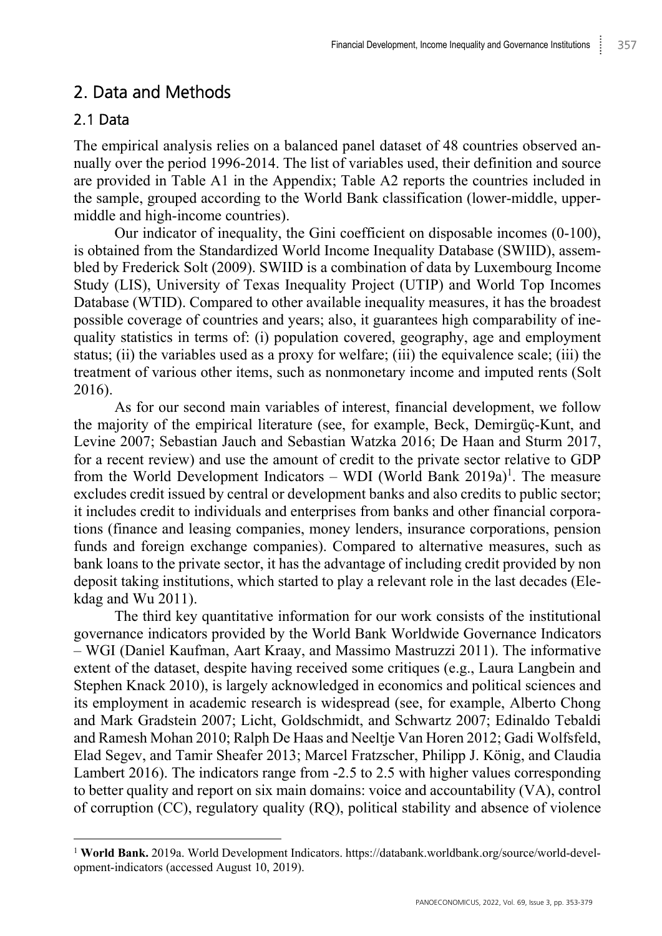## 2. Data and Methods

### 2.1 Data

The empirical analysis relies on a balanced panel dataset of 48 countries observed annually over the period 1996-2014. The list of variables used, their definition and source are provided in Table A1 in the Appendix; Table A2 reports the countries included in the sample, grouped according to the World Bank classification (lower-middle, uppermiddle and high-income countries).

Our indicator of inequality, the Gini coefficient on disposable incomes (0-100), is obtained from the Standardized World Income Inequality Database (SWIID), assembled by Frederick Solt (2009). SWIID is a combination of data by Luxembourg Income Study (LIS), University of Texas Inequality Project (UTIP) and World Top Incomes Database (WTID). Compared to other available inequality measures, it has the broadest possible coverage of countries and years; also, it guarantees high comparability of inequality statistics in terms of: (i) population covered, geography, age and employment status; (ii) the variables used as a proxy for welfare; (iii) the equivalence scale; (iii) the treatment of various other items, such as nonmonetary income and imputed rents (Solt 2016).

As for our second main variables of interest, financial development, we follow the majority of the empirical literature (see, for example, Beck, Demirgüç-Kunt, and Levine 2007; Sebastian Jauch and Sebastian Watzka 2016; De Haan and Sturm 2017, for a recent review) and use the amount of credit to the private sector relative to GDP from the World Development Indicators – WDI (World Bank 2019a)<sup>1</sup>. The measure excludes credit issued by central or development banks and also credits to public sector; it includes credit to individuals and enterprises from banks and other financial corporations (finance and leasing companies, money lenders, insurance corporations, pension funds and foreign exchange companies). Compared to alternative measures, such as bank loans to the private sector, it has the advantage of including credit provided by non deposit taking institutions, which started to play a relevant role in the last decades (Elekdag and Wu 2011).

The third key quantitative information for our work consists of the institutional governance indicators provided by the World Bank Worldwide Governance Indicators – WGI (Daniel Kaufman, Aart Kraay, and Massimo Mastruzzi 2011). The informative extent of the dataset, despite having received some critiques (e.g., Laura Langbein and Stephen Knack 2010), is largely acknowledged in economics and political sciences and its employment in academic research is widespread (see, for example, Alberto Chong and Mark Gradstein 2007; Licht, Goldschmidt, and Schwartz 2007; Edinaldo Tebaldi and Ramesh Mohan 2010; Ralph De Haas and Neeltje Van Horen 2012; Gadi Wolfsfeld, Elad Segev, and Tamir Sheafer 2013; Marcel Fratzscher, Philipp J. König, and Claudia Lambert 2016). The indicators range from -2.5 to 2.5 with higher values corresponding to better quality and report on six main domains: voice and accountability (VA), control of corruption (CC), regulatory quality (RQ), political stability and absence of violence

<sup>1</sup> **World Bank.** 2019a. World Development Indicators. https://databank.worldbank.org/source/world-development-indicators (accessed August 10, 2019).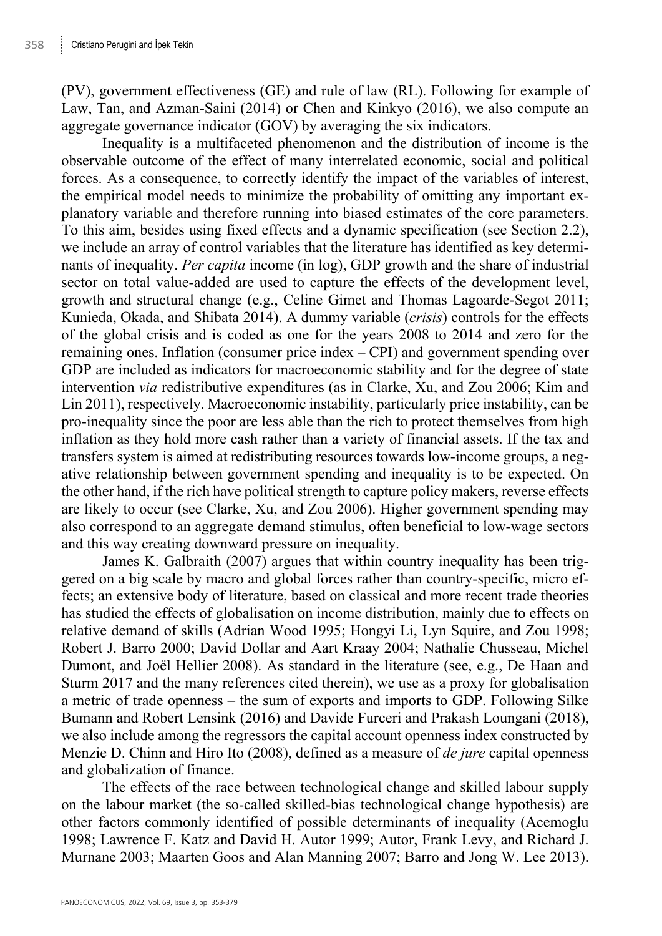(PV), government effectiveness (GE) and rule of law (RL). Following for example of Law, Tan, and Azman-Saini (2014) or Chen and Kinkyo (2016), we also compute an aggregate governance indicator (GOV) by averaging the six indicators.

Inequality is a multifaceted phenomenon and the distribution of income is the observable outcome of the effect of many interrelated economic, social and political forces. As a consequence, to correctly identify the impact of the variables of interest, the empirical model needs to minimize the probability of omitting any important explanatory variable and therefore running into biased estimates of the core parameters. To this aim, besides using fixed effects and a dynamic specification (see Section 2.2), we include an array of control variables that the literature has identified as key determinants of inequality. *Per capita* income (in log), GDP growth and the share of industrial sector on total value-added are used to capture the effects of the development level, growth and structural change (e.g., Celine Gimet and Thomas Lagoarde-Segot 2011; Kunieda, Okada, and Shibata 2014). A dummy variable (*crisis*) controls for the effects of the global crisis and is coded as one for the years 2008 to 2014 and zero for the remaining ones. Inflation (consumer price index – CPI) and government spending over GDP are included as indicators for macroeconomic stability and for the degree of state intervention *via* redistributive expenditures (as in Clarke, Xu, and Zou 2006; Kim and Lin 2011), respectively. Macroeconomic instability, particularly price instability, can be pro-inequality since the poor are less able than the rich to protect themselves from high inflation as they hold more cash rather than a variety of financial assets. If the tax and transfers system is aimed at redistributing resources towards low-income groups, a negative relationship between government spending and inequality is to be expected. On the other hand, if the rich have political strength to capture policy makers, reverse effects are likely to occur (see Clarke, Xu, and Zou 2006). Higher government spending may also correspond to an aggregate demand stimulus, often beneficial to low-wage sectors and this way creating downward pressure on inequality.

James K. Galbraith (2007) argues that within country inequality has been triggered on a big scale by macro and global forces rather than country-specific, micro effects; an extensive body of literature, based on classical and more recent trade theories has studied the effects of globalisation on income distribution, mainly due to effects on relative demand of skills (Adrian Wood 1995; Hongyi Li, Lyn Squire, and Zou 1998; Robert J. Barro 2000; David Dollar and Aart Kraay 2004; Nathalie Chusseau, Michel Dumont, and Joël Hellier 2008). As standard in the literature (see, e.g., De Haan and Sturm 2017 and the many references cited therein), we use as a proxy for globalisation a metric of trade openness – the sum of exports and imports to GDP. Following Silke Bumann and Robert Lensink (2016) and Davide Furceri and Prakash Loungani (2018), we also include among the regressors the capital account openness index constructed by Menzie D. Chinn and Hiro Ito (2008), defined as a measure of *de jure* capital openness and globalization of finance.

The effects of the race between technological change and skilled labour supply on the labour market (the so-called skilled-bias technological change hypothesis) are other factors commonly identified of possible determinants of inequality (Acemoglu 1998; Lawrence F. Katz and David H. Autor 1999; Autor, Frank Levy, and Richard J. Murnane 2003; Maarten Goos and Alan Manning 2007; Barro and Jong W. Lee 2013).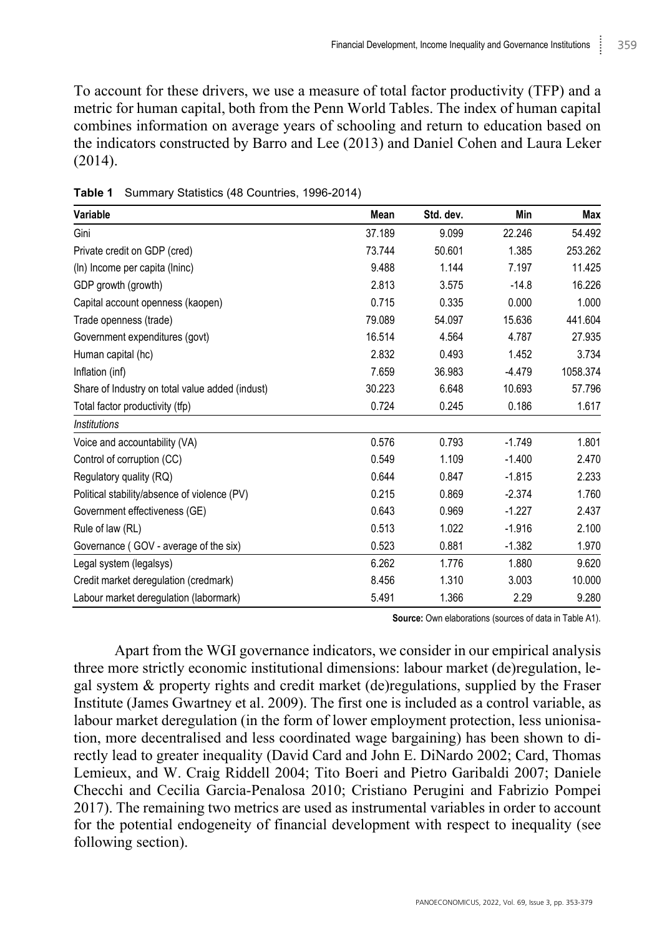To account for these drivers, we use a measure of total factor productivity (TFP) and a metric for human capital, both from the Penn World Tables. The index of human capital combines information on average years of schooling and return to education based on the indicators constructed by Barro and Lee (2013) and Daniel Cohen and Laura Leker (2014).

| Variable                                        | Mean   | Std. dev. | Min      | Max      |
|-------------------------------------------------|--------|-----------|----------|----------|
| Gini                                            | 37.189 | 9.099     | 22.246   | 54.492   |
| Private credit on GDP (cred)                    | 73.744 | 50.601    | 1.385    | 253.262  |
| (In) Income per capita (Ininc)                  | 9.488  | 1.144     | 7.197    | 11.425   |
| GDP growth (growth)                             | 2.813  | 3.575     | $-14.8$  | 16.226   |
| Capital account openness (kaopen)               | 0.715  | 0.335     | 0.000    | 1.000    |
| Trade openness (trade)                          | 79.089 | 54.097    | 15.636   | 441.604  |
| Government expenditures (govt)                  | 16.514 | 4.564     | 4.787    | 27.935   |
| Human capital (hc)                              | 2.832  | 0.493     | 1.452    | 3.734    |
| Inflation (inf)                                 | 7.659  | 36.983    | $-4.479$ | 1058.374 |
| Share of Industry on total value added (indust) | 30.223 | 6.648     | 10.693   | 57.796   |
| Total factor productivity (tfp)                 | 0.724  | 0.245     | 0.186    | 1.617    |
| <b>Institutions</b>                             |        |           |          |          |
| Voice and accountability (VA)                   | 0.576  | 0.793     | $-1.749$ | 1.801    |
| Control of corruption (CC)                      | 0.549  | 1.109     | $-1.400$ | 2.470    |
| Regulatory quality (RQ)                         | 0.644  | 0.847     | $-1.815$ | 2.233    |
| Political stability/absence of violence (PV)    | 0.215  | 0.869     | $-2.374$ | 1.760    |
| Government effectiveness (GE)                   | 0.643  | 0.969     | $-1.227$ | 2.437    |
| Rule of law (RL)                                | 0.513  | 1.022     | $-1.916$ | 2.100    |
| Governance (GOV - average of the six)           | 0.523  | 0.881     | $-1.382$ | 1.970    |
| Legal system (legalsys)                         | 6.262  | 1.776     | 1.880    | 9.620    |
| Credit market deregulation (credmark)           | 8.456  | 1.310     | 3.003    | 10.000   |
| Labour market deregulation (labormark)          | 5.491  | 1.366     | 2.29     | 9.280    |

**Table 1** Summary Statistics (48 Countries, 1996-2014)

**Source:** Own elaborations (sources of data in Table A1).

Apart from the WGI governance indicators, we consider in our empirical analysis three more strictly economic institutional dimensions: labour market (de)regulation, legal system & property rights and credit market (de)regulations, supplied by the Fraser Institute (James Gwartney et al. 2009). The first one is included as a control variable, as labour market deregulation (in the form of lower employment protection, less unionisation, more decentralised and less coordinated wage bargaining) has been shown to directly lead to greater inequality (David Card and John E. DiNardo 2002; Card, Thomas Lemieux, and W. Craig Riddell 2004; Tito Boeri and Pietro Garibaldi 2007; Daniele Checchi and Cecilia Garcia-Penalosa 2010; Cristiano Perugini and Fabrizio Pompei 2017). The remaining two metrics are used as instrumental variables in order to account for the potential endogeneity of financial development with respect to inequality (see following section).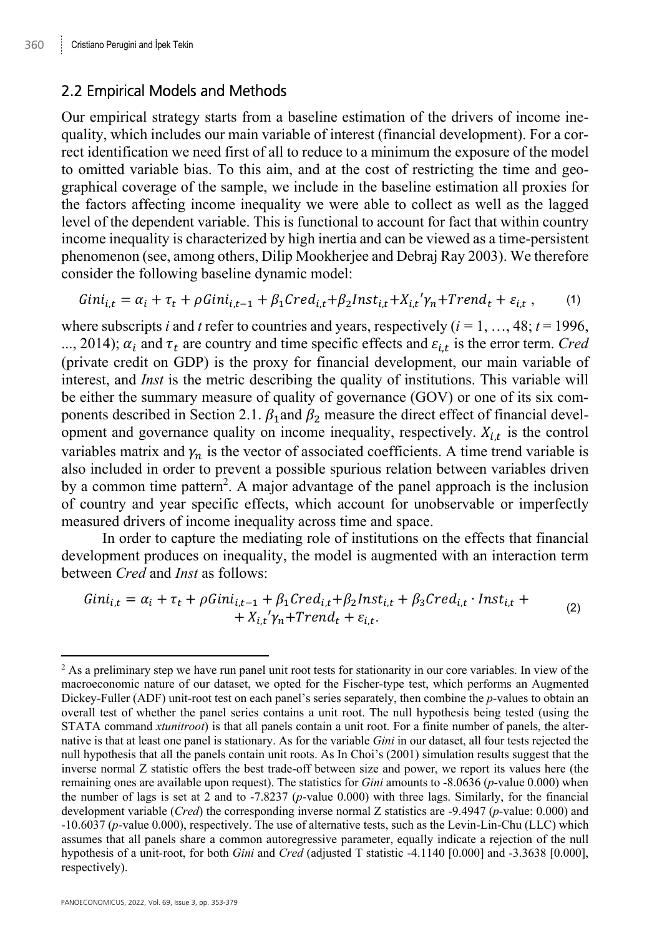#### 2.2 Empirical Models and Methods

Our empirical strategy starts from a baseline estimation of the drivers of income inequality, which includes our main variable of interest (financial development). For a correct identification we need first of all to reduce to a minimum the exposure of the model to omitted variable bias. To this aim, and at the cost of restricting the time and geographical coverage of the sample, we include in the baseline estimation all proxies for the factors affecting income inequality we were able to collect as well as the lagged level of the dependent variable. This is functional to account for fact that within country income inequality is characterized by high inertia and can be viewed as a time-persistent phenomenon (see, among others, Dilip Mookherjee and Debraj Ray 2003). We therefore consider the following baseline dynamic model:

$$
Gini_{i,t} = \alpha_i + \tau_t + \rho Gini_{i,t-1} + \beta_1 Cred_{i,t} + \beta_2 Inst_{i,t} + X_{i,t} \gamma_n + Trend_t + \varepsilon_{i,t} , \qquad (1)
$$

where subscripts *i* and *t* refer to countries and years, respectively  $(i = 1, ..., 48; t = 1996)$ . ..., 2014);  $\alpha_i$  and  $\tau_t$  are country and time specific effects and  $\varepsilon_{i,t}$  is the error term. *Cred* (private credit on GDP) is the proxy for financial development, our main variable of interest, and *Inst* is the metric describing the quality of institutions. This variable will be either the summary measure of quality of governance (GOV) or one of its six components described in Section 2.1.  $\beta_1$  and  $\beta_2$  measure the direct effect of financial development and governance quality on income inequality, respectively.  $X_{i,t}$  is the control variables matrix and  $\gamma_n$  is the vector of associated coefficients. A time trend variable is also included in order to prevent a possible spurious relation between variables driven by a common time pattern<sup>2</sup>. A major advantage of the panel approach is the inclusion of country and year specific effects, which account for unobservable or imperfectly measured drivers of income inequality across time and space.

In order to capture the mediating role of institutions on the effects that financial development produces on inequality, the model is augmented with an interaction term between *Cred* and *Inst* as follows:

$$
Gini_{i,t} = \alpha_i + \tau_t + \rho Gini_{i,t-1} + \beta_1 Cred_{i,t} + \beta_2 Inst_{i,t} + \beta_3 Cred_{i,t} \cdot Inst_{i,t} ++ X_{i,t}' \gamma_n + Trend_t + \varepsilon_{i,t}.
$$
 (2)

<sup>&</sup>lt;sup>2</sup> As a preliminary step we have run panel unit root tests for stationarity in our core variables. In view of the macroeconomic nature of our dataset, we opted for the Fischer-type test, which performs an Augmented Dickey-Fuller (ADF) unit-root test on each panel's series separately, then combine the *p*-values to obtain an overall test of whether the panel series contains a unit root. The null hypothesis being tested (using the STATA command *xtunitroot*) is that all panels contain a unit root. For a finite number of panels, the alternative is that at least one panel is stationary. As for the variable *Gini* in our dataset, all four tests rejected the null hypothesis that all the panels contain unit roots. As In Choi's (2001) simulation results suggest that the inverse normal Z statistic offers the best trade-off between size and power, we report its values here (the remaining ones are available upon request). The statistics for *Gini* amounts to -8.0636 (*p*-value 0.000) when the number of lags is set at 2 and to -7.8237 (*p*-value 0.000) with three lags. Similarly, for the financial development variable (*Cred*) the corresponding inverse normal Z statistics are -9.4947 (*p*-value: 0.000) and -10.6037 (*p*-value 0.000), respectively. The use of alternative tests, such as the Levin-Lin-Chu (LLC) which assumes that all panels share a common autoregressive parameter, equally indicate a rejection of the null hypothesis of a unit-root, for both *Gini* and *Cred* (adjusted T statistic -4.1140 [0.000] and -3.3638 [0.000], respectively).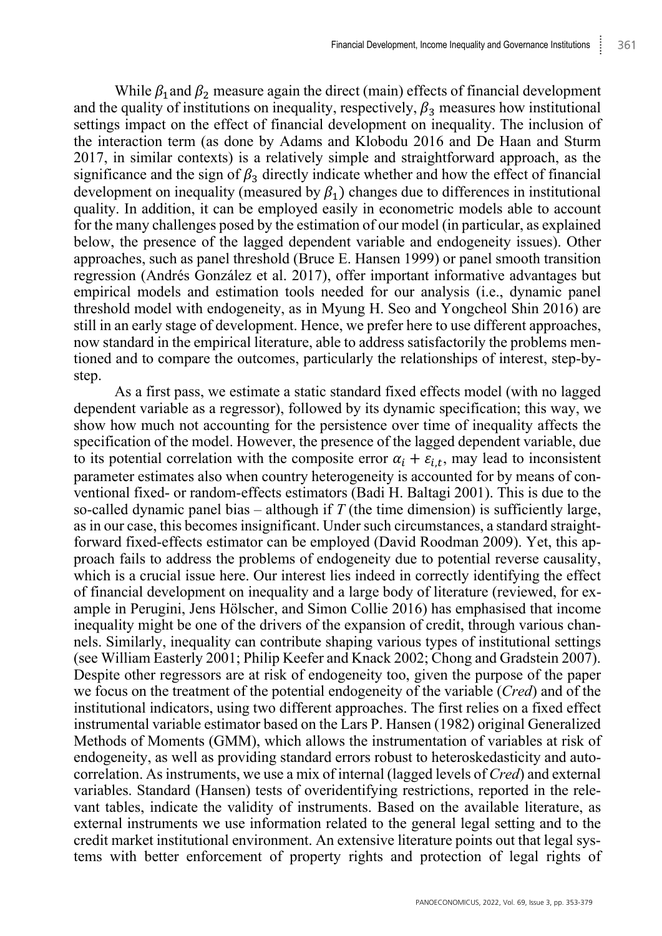While  $\beta_1$  and  $\beta_2$  measure again the direct (main) effects of financial development and the quality of institutions on inequality, respectively,  $\beta_3$  measures how institutional settings impact on the effect of financial development on inequality. The inclusion of the interaction term (as done by Adams and Klobodu 2016 and De Haan and Sturm 2017, in similar contexts) is a relatively simple and straightforward approach, as the significance and the sign of  $\beta_3$  directly indicate whether and how the effect of financial development on inequality (measured by  $\beta_1$ ) changes due to differences in institutional quality. In addition, it can be employed easily in econometric models able to account for the many challenges posed by the estimation of our model (in particular, as explained below, the presence of the lagged dependent variable and endogeneity issues). Other approaches, such as panel threshold (Bruce E. Hansen 1999) or panel smooth transition regression (Andrés González et al. 2017), offer important informative advantages but empirical models and estimation tools needed for our analysis (i.e., dynamic panel threshold model with endogeneity, as in Myung H. Seo and Yongcheol Shin 2016) are still in an early stage of development. Hence, we prefer here to use different approaches, now standard in the empirical literature, able to address satisfactorily the problems mentioned and to compare the outcomes, particularly the relationships of interest, step-bystep.

As a first pass, we estimate a static standard fixed effects model (with no lagged dependent variable as a regressor), followed by its dynamic specification; this way, we show how much not accounting for the persistence over time of inequality affects the specification of the model. However, the presence of the lagged dependent variable, due to its potential correlation with the composite error  $\alpha_i + \varepsilon_{i,t}$ , may lead to inconsistent parameter estimates also when country heterogeneity is accounted for by means of conventional fixed- or random-effects estimators (Badi H. Baltagi 2001). This is due to the so-called dynamic panel bias – although if *T* (the time dimension) is sufficiently large, as in our case, this becomes insignificant. Under such circumstances, a standard straightforward fixed-effects estimator can be employed (David Roodman 2009). Yet, this approach fails to address the problems of endogeneity due to potential reverse causality, which is a crucial issue here. Our interest lies indeed in correctly identifying the effect of financial development on inequality and a large body of literature (reviewed, for example in Perugini, Jens Hölscher, and Simon Collie 2016) has emphasised that income inequality might be one of the drivers of the expansion of credit, through various channels. Similarly, inequality can contribute shaping various types of institutional settings (see William Easterly 2001; Philip Keefer and Knack 2002; Chong and Gradstein 2007). Despite other regressors are at risk of endogeneity too, given the purpose of the paper we focus on the treatment of the potential endogeneity of the variable (*Cred*) and of the institutional indicators, using two different approaches. The first relies on a fixed effect instrumental variable estimator based on the Lars P. Hansen (1982) original Generalized Methods of Moments (GMM), which allows the instrumentation of variables at risk of endogeneity, as well as providing standard errors robust to heteroskedasticity and autocorrelation. As instruments, we use a mix of internal (lagged levels of *Cred*) and external variables. Standard (Hansen) tests of overidentifying restrictions, reported in the relevant tables, indicate the validity of instruments. Based on the available literature, as external instruments we use information related to the general legal setting and to the credit market institutional environment. An extensive literature points out that legal systems with better enforcement of property rights and protection of legal rights of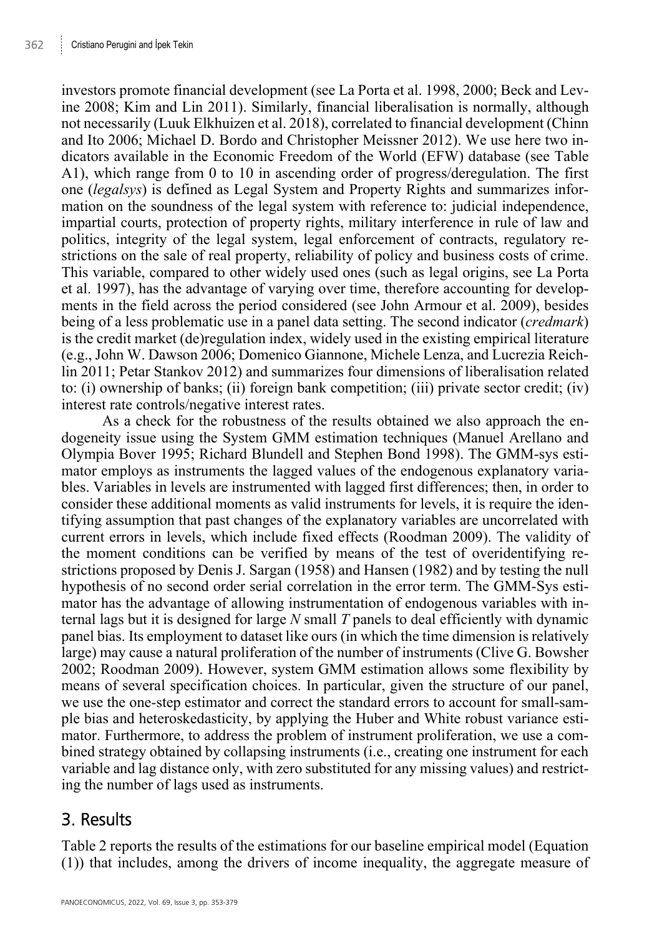investors promote financial development (see La Porta et al. 1998, 2000; Beck and Levine 2008; Kim and Lin 2011). Similarly, financial liberalisation is normally, although not necessarily (Luuk Elkhuizen et al. 2018), correlated to financial development (Chinn and Ito 2006; Michael D. Bordo and Christopher Meissner 2012). We use here two indicators available in the Economic Freedom of the World (EFW) database (see Table A1), which range from 0 to 10 in ascending order of progress/deregulation. The first one (*legalsys*) is defined as Legal System and Property Rights and summarizes information on the soundness of the legal system with reference to: judicial independence, impartial courts, protection of property rights, military interference in rule of law and politics, integrity of the legal system, legal enforcement of contracts, regulatory restrictions on the sale of real property, reliability of policy and business costs of crime. This variable, compared to other widely used ones (such as legal origins, see La Porta et al. 1997), has the advantage of varying over time, therefore accounting for developments in the field across the period considered (see John Armour et al. 2009), besides being of a less problematic use in a panel data setting. The second indicator (*credmark*) is the credit market (de)regulation index, widely used in the existing empirical literature (e.g., John W. Dawson 2006; Domenico Giannone, Michele Lenza, and Lucrezia Reichlin 2011; Petar Stankov 2012) and summarizes four dimensions of liberalisation related to: (i) ownership of banks; (ii) foreign bank competition; (iii) private sector credit; (iv) interest rate controls/negative interest rates.

As a check for the robustness of the results obtained we also approach the endogeneity issue using the System GMM estimation techniques (Manuel Arellano and Olympia Bover 1995; Richard Blundell and Stephen Bond 1998). The GMM-sys estimator employs as instruments the lagged values of the endogenous explanatory variables. Variables in levels are instrumented with lagged first differences; then, in order to consider these additional moments as valid instruments for levels, it is require the identifying assumption that past changes of the explanatory variables are uncorrelated with current errors in levels, which include fixed effects (Roodman 2009). The validity of the moment conditions can be verified by means of the test of overidentifying restrictions proposed by Denis J. Sargan (1958) and Hansen (1982) and by testing the null hypothesis of no second order serial correlation in the error term. The GMM-Sys estimator has the advantage of allowing instrumentation of endogenous variables with internal lags but it is designed for large *N* small *T* panels to deal efficiently with dynamic panel bias. Its employment to dataset like ours (in which the time dimension is relatively large) may cause a natural proliferation of the number of instruments (Clive G. Bowsher 2002; Roodman 2009). However, system GMM estimation allows some flexibility by means of several specification choices. In particular, given the structure of our panel, we use the one-step estimator and correct the standard errors to account for small-sample bias and heteroskedasticity, by applying the Huber and White robust variance estimator. Furthermore, to address the problem of instrument proliferation, we use a combined strategy obtained by collapsing instruments (i.e., creating one instrument for each variable and lag distance only, with zero substituted for any missing values) and restricting the number of lags used as instruments.

### 3. Results

Table 2 reports the results of the estimations for our baseline empirical model (Equation (1)) that includes, among the drivers of income inequality, the aggregate measure of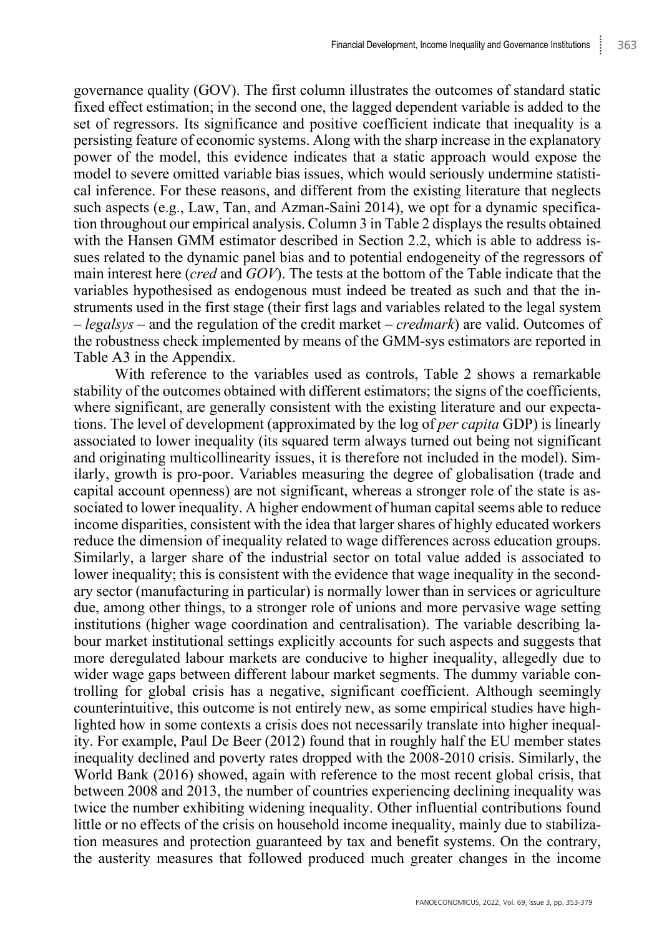governance quality (GOV). The first column illustrates the outcomes of standard static fixed effect estimation; in the second one, the lagged dependent variable is added to the set of regressors. Its significance and positive coefficient indicate that inequality is a persisting feature of economic systems. Along with the sharp increase in the explanatory power of the model, this evidence indicates that a static approach would expose the model to severe omitted variable bias issues, which would seriously undermine statistical inference. For these reasons, and different from the existing literature that neglects such aspects (e.g., Law, Tan, and Azman-Saini 2014), we opt for a dynamic specification throughout our empirical analysis. Column 3 in Table 2 displays the results obtained with the Hansen GMM estimator described in Section 2.2, which is able to address issues related to the dynamic panel bias and to potential endogeneity of the regressors of main interest here (*cred* and *GOV*). The tests at the bottom of the Table indicate that the variables hypothesised as endogenous must indeed be treated as such and that the instruments used in the first stage (their first lags and variables related to the legal system – *legalsys* – and the regulation of the credit market – *credmark*) are valid. Outcomes of the robustness check implemented by means of the GMM-sys estimators are reported in Table A3 in the Appendix.

With reference to the variables used as controls, Table 2 shows a remarkable stability of the outcomes obtained with different estimators; the signs of the coefficients, where significant, are generally consistent with the existing literature and our expectations. The level of development (approximated by the log of *per capita* GDP) is linearly associated to lower inequality (its squared term always turned out being not significant and originating multicollinearity issues, it is therefore not included in the model). Similarly, growth is pro-poor. Variables measuring the degree of globalisation (trade and capital account openness) are not significant, whereas a stronger role of the state is associated to lower inequality. A higher endowment of human capital seems able to reduce income disparities, consistent with the idea that larger shares of highly educated workers reduce the dimension of inequality related to wage differences across education groups. Similarly, a larger share of the industrial sector on total value added is associated to lower inequality; this is consistent with the evidence that wage inequality in the secondary sector (manufacturing in particular) is normally lower than in services or agriculture due, among other things, to a stronger role of unions and more pervasive wage setting institutions (higher wage coordination and centralisation). The variable describing labour market institutional settings explicitly accounts for such aspects and suggests that more deregulated labour markets are conducive to higher inequality, allegedly due to wider wage gaps between different labour market segments. The dummy variable controlling for global crisis has a negative, significant coefficient. Although seemingly counterintuitive, this outcome is not entirely new, as some empirical studies have highlighted how in some contexts a crisis does not necessarily translate into higher inequality. For example, Paul De Beer (2012) found that in roughly half the EU member states inequality declined and poverty rates dropped with the 2008-2010 crisis. Similarly, the World Bank (2016) showed, again with reference to the most recent global crisis, that between 2008 and 2013, the number of countries experiencing declining inequality was twice the number exhibiting widening inequality. Other influential contributions found little or no effects of the crisis on household income inequality, mainly due to stabilization measures and protection guaranteed by tax and benefit systems. On the contrary, the austerity measures that followed produced much greater changes in the income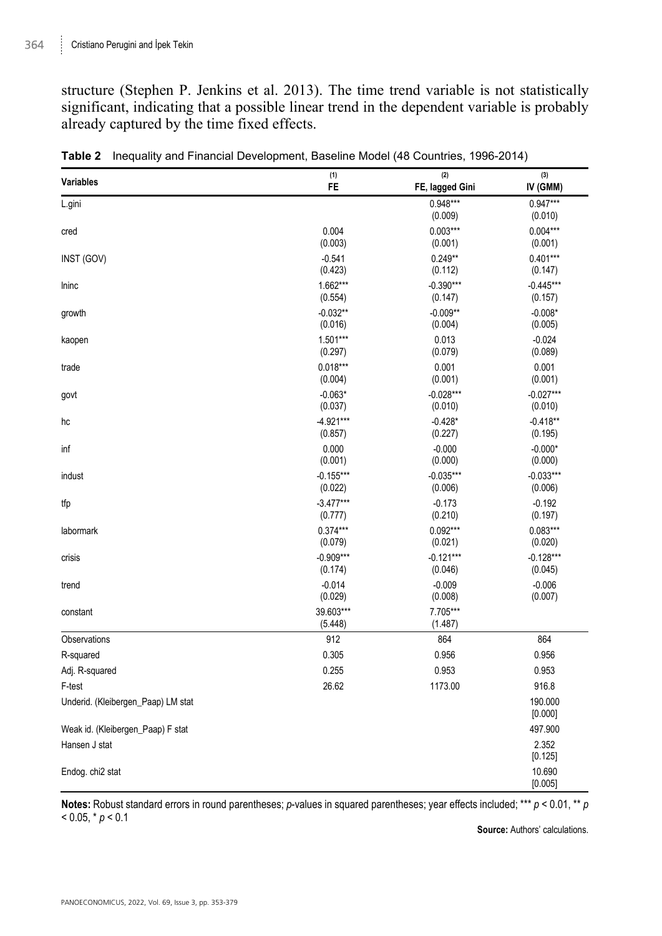structure (Stephen P. Jenkins et al. 2013). The time trend variable is not statistically significant, indicating that a possible linear trend in the dependent variable is probably already captured by the time fixed effects.

| Variables                          | (1)                  | (2)                   | (3)                   |
|------------------------------------|----------------------|-----------------------|-----------------------|
|                                    | FE                   | FE, lagged Gini       | IV (GMM)              |
| L.gini                             |                      | $0.948***$<br>(0.009) | $0.947***$<br>(0.010) |
| cred                               | 0.004                | $0.003***$            | $0.004***$            |
|                                    | (0.003)              | (0.001)               | (0.001)               |
| INST (GOV)                         | $-0.541$             | $0.249**$             | $0.401***$            |
|                                    | (0.423)              | (0.112)               | (0.147)               |
| Ininc                              | 1.662***             | $-0.390***$           | $-0.445***$           |
|                                    | (0.554)              | (0.147)               | (0.157)               |
| growth                             | $-0.032**$           | $-0.009**$            | $-0.008*$             |
|                                    | (0.016)              | (0.004)               | (0.005)               |
| kaopen                             | $1.501***$           | 0.013                 | $-0.024$              |
|                                    | (0.297)              | (0.079)               | (0.089)               |
| trade                              | $0.018***$           | 0.001                 | 0.001                 |
|                                    | (0.004)              | (0.001)               | (0.001)               |
| govt                               | $-0.063*$            | $-0.028***$           | $-0.027***$           |
|                                    | (0.037)              | (0.010)               | (0.010)               |
| hc                                 | $-4.921***$          | $-0.428*$             | $-0.418**$            |
|                                    | (0.857)              | (0.227)               | (0.195)               |
| inf                                | 0.000                | $-0.000$              | $-0.000*$             |
|                                    | (0.001)              | (0.000)               | (0.000)               |
| indust                             | $-0.155***$          | $-0.035***$           | $-0.033***$           |
|                                    | (0.022)              | (0.006)               | (0.006)               |
| tfp                                | $-3.477***$          | $-0.173$              | $-0.192$              |
|                                    | (0.777)              | (0.210)               | (0.197)               |
| labormark                          | $0.374***$           | $0.092***$            | $0.083***$            |
|                                    | (0.079)              | (0.021)               | (0.020)               |
| crisis                             | $-0.909***$          | $-0.121***$           | $-0.128***$           |
|                                    | (0.174)              | (0.046)               | (0.045)               |
| trend                              | $-0.014$             | $-0.009$              | $-0.006$              |
|                                    | (0.029)              | (0.008)               | (0.007)               |
| constant                           | 39.603***<br>(5.448) | 7.705***<br>(1.487)   |                       |
| Observations                       | 912                  | 864                   | 864                   |
| R-squared                          | 0.305                | 0.956                 | 0.956                 |
| Adj. R-squared                     | 0.255                | 0.953                 | 0.953                 |
| F-test                             | 26.62                | 1173.00               | 916.8                 |
| Underid. (Kleibergen_Paap) LM stat |                      |                       | 190.000<br>[0.000]    |
| Weak id. (Kleibergen_Paap) F stat  |                      |                       | 497.900               |
| Hansen J stat                      |                      |                       | 2.352<br>[0.125]      |
| Endog. chi2 stat                   |                      |                       | 10.690<br>[0.005]     |

**Table 2** Inequality and Financial Development, Baseline Model (48 Countries, 1996-2014)

**Notes:** Robust standard errors in round parentheses; *p*-values in squared parentheses; year effects included; \*\*\* *p* < 0.01, \*\* *p*  $< 0.05, * p < 0.1$ 

**Source:** Authors' calculations.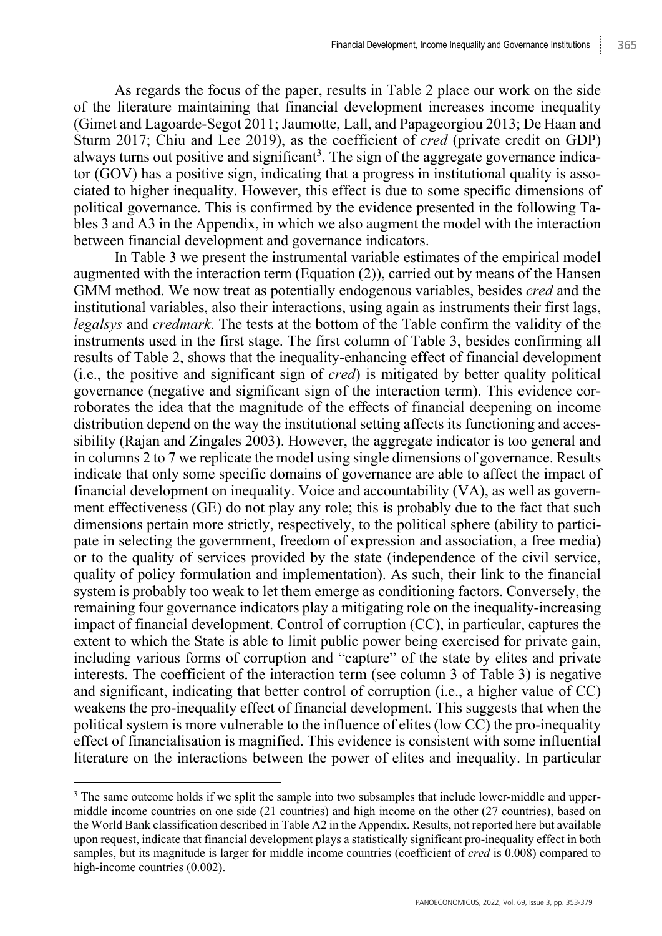As regards the focus of the paper, results in Table 2 place our work on the side of the literature maintaining that financial development increases income inequality (Gimet and Lagoarde-Segot 2011; Jaumotte, Lall, and Papageorgiou 2013; De Haan and Sturm 2017; Chiu and Lee 2019), as the coefficient of *cred* (private credit on GDP) always turns out positive and significant<sup>3</sup>. The sign of the aggregate governance indicator (GOV) has a positive sign, indicating that a progress in institutional quality is associated to higher inequality. However, this effect is due to some specific dimensions of political governance. This is confirmed by the evidence presented in the following Tables 3 and A3 in the Appendix, in which we also augment the model with the interaction between financial development and governance indicators.

In Table 3 we present the instrumental variable estimates of the empirical model augmented with the interaction term (Equation (2)), carried out by means of the Hansen GMM method. We now treat as potentially endogenous variables, besides *cred* and the institutional variables, also their interactions, using again as instruments their first lags, *legalsys* and *credmark*. The tests at the bottom of the Table confirm the validity of the instruments used in the first stage. The first column of Table 3, besides confirming all results of Table 2, shows that the inequality-enhancing effect of financial development (i.e., the positive and significant sign of *cred*) is mitigated by better quality political governance (negative and significant sign of the interaction term). This evidence corroborates the idea that the magnitude of the effects of financial deepening on income distribution depend on the way the institutional setting affects its functioning and accessibility (Rajan and Zingales 2003). However, the aggregate indicator is too general and in columns 2 to 7 we replicate the model using single dimensions of governance. Results indicate that only some specific domains of governance are able to affect the impact of financial development on inequality. Voice and accountability (VA), as well as government effectiveness (GE) do not play any role; this is probably due to the fact that such dimensions pertain more strictly, respectively, to the political sphere (ability to participate in selecting the government, freedom of expression and association, a free media) or to the quality of services provided by the state (independence of the civil service, quality of policy formulation and implementation). As such, their link to the financial system is probably too weak to let them emerge as conditioning factors. Conversely, the remaining four governance indicators play a mitigating role on the inequality-increasing impact of financial development. Control of corruption (CC), in particular, captures the extent to which the State is able to limit public power being exercised for private gain, including various forms of corruption and "capture" of the state by elites and private interests. The coefficient of the interaction term (see column 3 of Table 3) is negative and significant, indicating that better control of corruption (i.e., a higher value of CC) weakens the pro-inequality effect of financial development. This suggests that when the political system is more vulnerable to the influence of elites (low CC) the pro-inequality effect of financialisation is magnified. This evidence is consistent with some influential literature on the interactions between the power of elites and inequality. In particular

<sup>&</sup>lt;sup>3</sup> The same outcome holds if we split the sample into two subsamples that include lower-middle and uppermiddle income countries on one side (21 countries) and high income on the other (27 countries), based on the World Bank classification described in Table A2 in the Appendix. Results, not reported here but available upon request, indicate that financial development plays a statistically significant pro-inequality effect in both samples, but its magnitude is larger for middle income countries (coefficient of *cred* is 0.008) compared to high-income countries  $(0.002)$ .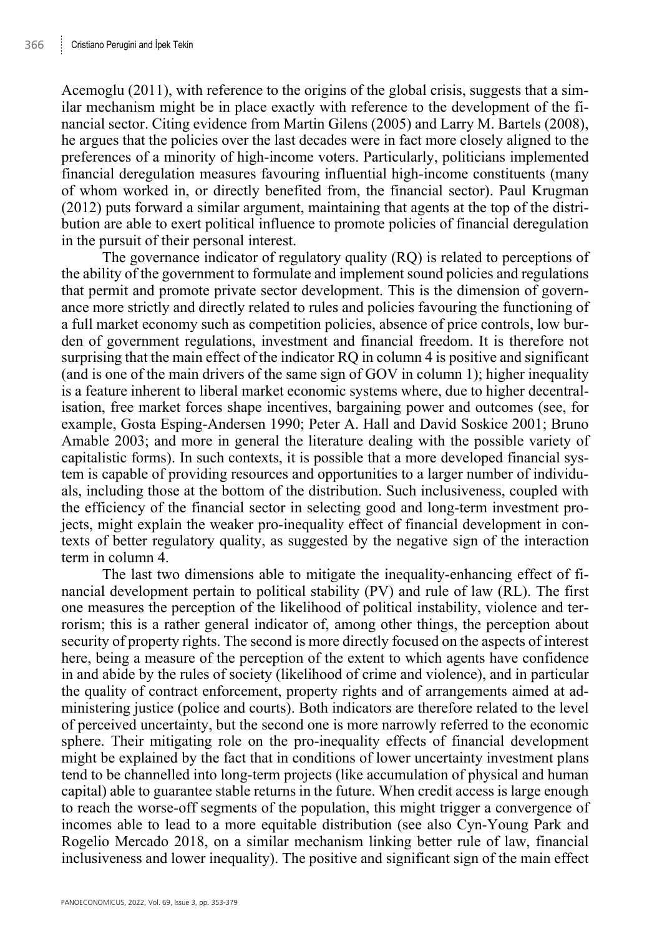Acemoglu (2011), with reference to the origins of the global crisis, suggests that a similar mechanism might be in place exactly with reference to the development of the financial sector. Citing evidence from Martin Gilens (2005) and Larry M. Bartels (2008), he argues that the policies over the last decades were in fact more closely aligned to the preferences of a minority of high-income voters. Particularly, politicians implemented financial deregulation measures favouring influential high-income constituents (many of whom worked in, or directly benefited from, the financial sector). Paul Krugman (2012) puts forward a similar argument, maintaining that agents at the top of the distribution are able to exert political influence to promote policies of financial deregulation in the pursuit of their personal interest.

The governance indicator of regulatory quality (RQ) is related to perceptions of the ability of the government to formulate and implement sound policies and regulations that permit and promote private sector development. This is the dimension of governance more strictly and directly related to rules and policies favouring the functioning of a full market economy such as competition policies, absence of price controls, low burden of government regulations, investment and financial freedom. It is therefore not surprising that the main effect of the indicator RQ in column 4 is positive and significant (and is one of the main drivers of the same sign of GOV in column 1); higher inequality is a feature inherent to liberal market economic systems where, due to higher decentralisation, free market forces shape incentives, bargaining power and outcomes (see, for example, Gosta Esping-Andersen 1990; Peter A. Hall and David Soskice 2001; Bruno Amable 2003; and more in general the literature dealing with the possible variety of capitalistic forms). In such contexts, it is possible that a more developed financial system is capable of providing resources and opportunities to a larger number of individuals, including those at the bottom of the distribution. Such inclusiveness, coupled with the efficiency of the financial sector in selecting good and long-term investment projects, might explain the weaker pro-inequality effect of financial development in contexts of better regulatory quality, as suggested by the negative sign of the interaction term in column 4.

The last two dimensions able to mitigate the inequality-enhancing effect of financial development pertain to political stability (PV) and rule of law (RL). The first one measures the perception of the likelihood of political instability, violence and terrorism; this is a rather general indicator of, among other things, the perception about security of property rights. The second is more directly focused on the aspects of interest here, being a measure of the perception of the extent to which agents have confidence in and abide by the rules of society (likelihood of crime and violence), and in particular the quality of contract enforcement, property rights and of arrangements aimed at administering justice (police and courts). Both indicators are therefore related to the level of perceived uncertainty, but the second one is more narrowly referred to the economic sphere. Their mitigating role on the pro-inequality effects of financial development might be explained by the fact that in conditions of lower uncertainty investment plans tend to be channelled into long-term projects (like accumulation of physical and human capital) able to guarantee stable returns in the future. When credit access is large enough to reach the worse-off segments of the population, this might trigger a convergence of incomes able to lead to a more equitable distribution (see also Cyn-Young Park and Rogelio Mercado 2018, on a similar mechanism linking better rule of law, financial inclusiveness and lower inequality). The positive and significant sign of the main effect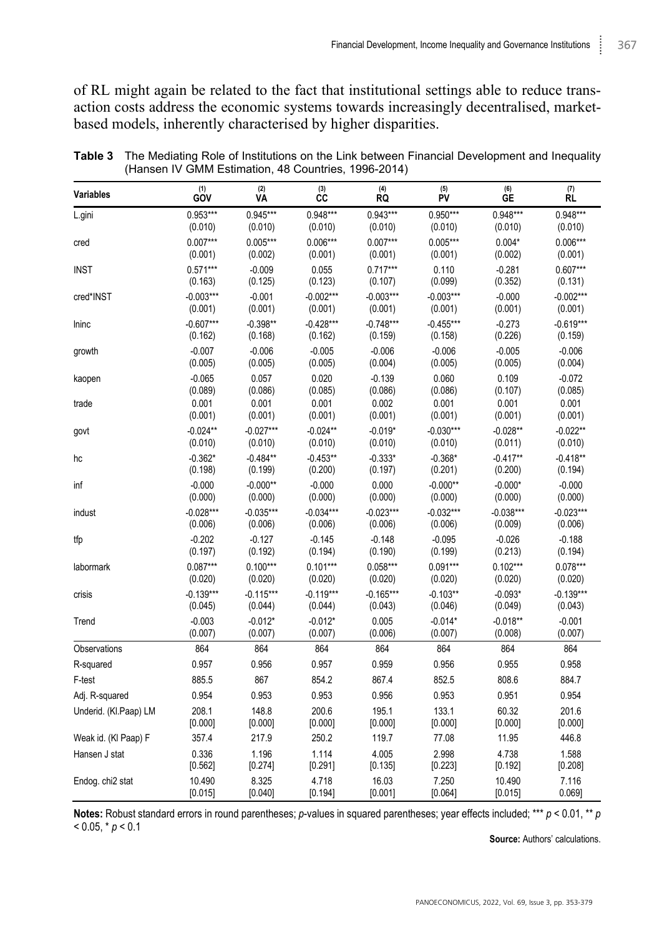of RL might again be related to the fact that institutional settings able to reduce transaction costs address the economic systems towards increasingly decentralised, marketbased models, inherently characterised by higher disparities.

| Variables                    | (1)<br>GOV  | (2)<br><b>VA</b> | $(3)$<br>CC | (4)<br>RQ   | $\overset{(5)}{\text{PV}}$ | (6)<br>GЕ   | (7)<br>RL   |
|------------------------------|-------------|------------------|-------------|-------------|----------------------------|-------------|-------------|
| L.gini                       | $0.953***$  | $0.945***$       | $0.948***$  | $0.943***$  | $0.950***$                 | $0.948***$  | $0.948***$  |
|                              | (0.010)     | (0.010)          | (0.010)     | (0.010)     | (0.010)                    | (0.010)     | (0.010)     |
| cred                         | $0.007***$  | $0.005***$       | $0.006***$  | $0.007***$  | $0.005***$                 | $0.004*$    | $0.006***$  |
|                              | (0.001)     | (0.002)          | (0.001)     | (0.001)     | (0.001)                    | (0.002)     | (0.001)     |
| <b>INST</b>                  | $0.571***$  | $-0.009$         | 0.055       | $0.717***$  | 0.110                      | $-0.281$    | $0.607***$  |
|                              | (0.163)     | (0.125)          | (0.123)     | (0.107)     | (0.099)                    | (0.352)     | (0.131)     |
| cred*INST                    | $-0.003***$ | $-0.001$         | $-0.002***$ | $-0.003***$ | $-0.003***$                | $-0.000$    | $-0.002***$ |
|                              | (0.001)     | (0.001)          | (0.001)     | (0.001)     | (0.001)                    | (0.001)     | (0.001)     |
| Ininc                        | $-0.607***$ | $-0.398**$       | $-0.428***$ | $-0.748***$ | $-0.455***$                | $-0.273$    | $-0.619***$ |
|                              | (0.162)     | (0.168)          | (0.162)     | (0.159)     | (0.158)                    | (0.226)     | (0.159)     |
| growth                       | $-0.007$    | $-0.006$         | $-0.005$    | $-0.006$    | $-0.006$                   | $-0.005$    | $-0.006$    |
|                              | (0.005)     | (0.005)          | (0.005)     | (0.004)     | (0.005)                    | (0.005)     | (0.004)     |
| kaopen                       | $-0.065$    | 0.057            | 0.020       | $-0.139$    | 0.060                      | 0.109       | $-0.072$    |
|                              | (0.089)     | (0.086)          | (0.085)     | (0.086)     | (0.086)                    | (0.107)     | (0.085)     |
| trade                        | 0.001       | 0.001            | 0.001       | 0.002       | 0.001                      | 0.001       | 0.001       |
|                              | (0.001)     | (0.001)          | (0.001)     | (0.001)     | (0.001)                    | (0.001)     | (0.001)     |
| govt                         | $-0.024**$  | $-0.027***$      | $-0.024**$  | $-0.019*$   | $-0.030***$                | $-0.028**$  | $-0.022**$  |
|                              | (0.010)     | (0.010)          | (0.010)     | (0.010)     | (0.010)                    | (0.011)     | (0.010)     |
| hc                           | $-0.362*$   | $-0.484**$       | $-0.453**$  | $-0.333*$   | $-0.368*$                  | $-0.417**$  | $-0.418**$  |
|                              | (0.198)     | (0.199)          | (0.200)     | (0.197)     | (0.201)                    | (0.200)     | (0.194)     |
| inf                          | $-0.000$    | $-0.000**$       | $-0.000$    | 0.000       | $-0.000**$                 | $-0.000*$   | $-0.000$    |
|                              | (0.000)     | (0.000)          | (0.000)     | (0.000)     | (0.000)                    | (0.000)     | (0.000)     |
| indust                       | $-0.028***$ | $-0.035***$      | $-0.034***$ | $-0.023***$ | $-0.032***$                | $-0.038***$ | $-0.023***$ |
|                              | (0.006)     | (0.006)          | (0.006)     | (0.006)     | (0.006)                    | (0.009)     | (0.006)     |
| tfp                          | $-0.202$    | $-0.127$         | $-0.145$    | $-0.148$    | $-0.095$                   | $-0.026$    | $-0.188$    |
|                              | (0.197)     | (0.192)          | (0.194)     | (0.190)     | (0.199)                    | (0.213)     | (0.194)     |
| labormark                    | $0.087***$  | $0.100***$       | $0.101***$  | $0.058***$  | $0.091***$                 | $0.102***$  | $0.078***$  |
|                              | (0.020)     | (0.020)          | (0.020)     | (0.020)     | (0.020)                    | (0.020)     | (0.020)     |
| crisis                       | $-0.139***$ | $-0.115***$      | $-0.119***$ | $-0.165***$ | $-0.103**$                 | $-0.093*$   | $-0.139***$ |
|                              | (0.045)     | (0.044)          | (0.044)     | (0.043)     | (0.046)                    | (0.049)     | (0.043)     |
| Trend                        | $-0.003$    | $-0.012*$        | $-0.012*$   | 0.005       | $-0.014*$                  | $-0.018**$  | $-0.001$    |
|                              | (0.007)     | (0.007)          | (0.007)     | (0.006)     | (0.007)                    | (0.008)     | (0.007)     |
| Observations                 | 864         | 864              | 864         | 864         | 864                        | 864         | 864         |
| R-squared                    | 0.957       | 0.956            | 0.957       | 0.959       | 0.956                      | 0.955       | 0.958       |
| F-test                       | 885.5       | 867              | 854.2       | 867.4       | 852.5                      | 808.6       | 884.7       |
| Adj. R-squared               | 0.954       | 0.953            | 0.953       | 0.956       | 0.953                      | 0.951       | 0.954       |
| Underid. (Kl.Paap) LM        | 208.1       | 148.8            | 200.6       | 195.1       | 133.1                      | 60.32       | 201.6       |
|                              | [0.000]     | [0.000]          | [0.000]     | [0.000]     | [0.000]                    | [0.000]     | [0.000]     |
| Weak id. (KI Paap) F         | 357.4       | 217.9            | 250.2       | 119.7       | 77.08                      | 11.95       | 446.8       |
| Hansen J stat                | 0.336       | 1.196            | 1.114       | 4.005       | 2.998                      | 4.738       | 1.588       |
|                              | [0.562]     | [0.274]          | [0.291]     | [0.135]     | [0.223]                    | [0.192]     | [0.208]     |
| Endog. chi <sub>2</sub> stat | 10.490      | 8.325            | 4.718       | 16.03       | 7.250                      | 10.490      | 7.116       |
|                              | [0.015]     | [0.040]          | [0.194]     | [0.001]     | [0.064]                    | [0.015]     | 0.069]      |

**Table 3** The Mediating Role of Institutions on the Link between Financial Development and Inequality (Hansen IV GMM Estimation, 48 Countries, 1996-2014)

**Notes:** Robust standard errors in round parentheses; *p*-values in squared parentheses; year effects included; \*\*\* *p* < 0.01, \*\* *p*  $< 0.05$ ,  $* p < 0.1$ 

**Source:** Authors' calculations.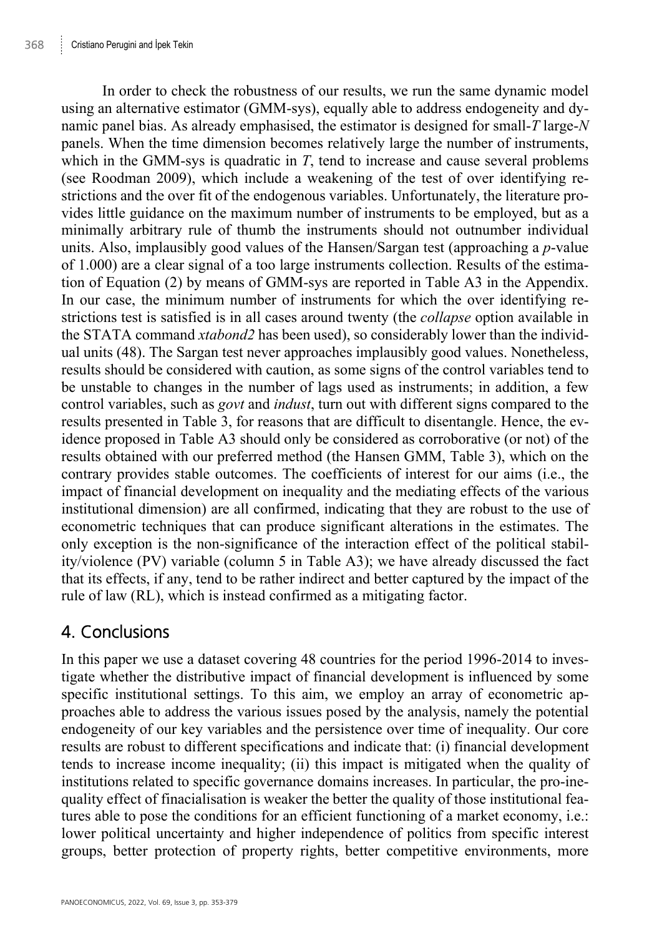In order to check the robustness of our results, we run the same dynamic model using an alternative estimator (GMM-sys), equally able to address endogeneity and dynamic panel bias. As already emphasised, the estimator is designed for small-*T* large-*N* panels. When the time dimension becomes relatively large the number of instruments, which in the GMM-sys is quadratic in *T*, tend to increase and cause several problems (see Roodman 2009), which include a weakening of the test of over identifying restrictions and the over fit of the endogenous variables. Unfortunately, the literature provides little guidance on the maximum number of instruments to be employed, but as a minimally arbitrary rule of thumb the instruments should not outnumber individual units. Also, implausibly good values of the Hansen/Sargan test (approaching a *p*-value of 1.000) are a clear signal of a too large instruments collection. Results of the estimation of Equation (2) by means of GMM-sys are reported in Table A3 in the Appendix. In our case, the minimum number of instruments for which the over identifying restrictions test is satisfied is in all cases around twenty (the *collapse* option available in the STATA command *xtabond2* has been used), so considerably lower than the individual units (48). The Sargan test never approaches implausibly good values. Nonetheless, results should be considered with caution, as some signs of the control variables tend to be unstable to changes in the number of lags used as instruments; in addition, a few control variables, such as *govt* and *indust*, turn out with different signs compared to the results presented in Table 3, for reasons that are difficult to disentangle. Hence, the evidence proposed in Table A3 should only be considered as corroborative (or not) of the results obtained with our preferred method (the Hansen GMM, Table 3), which on the contrary provides stable outcomes. The coefficients of interest for our aims (i.e., the impact of financial development on inequality and the mediating effects of the various institutional dimension) are all confirmed, indicating that they are robust to the use of econometric techniques that can produce significant alterations in the estimates. The only exception is the non-significance of the interaction effect of the political stability/violence (PV) variable (column 5 in Table A3); we have already discussed the fact that its effects, if any, tend to be rather indirect and better captured by the impact of the rule of law (RL), which is instead confirmed as a mitigating factor.

## 4. Conclusions

In this paper we use a dataset covering 48 countries for the period 1996-2014 to investigate whether the distributive impact of financial development is influenced by some specific institutional settings. To this aim, we employ an array of econometric approaches able to address the various issues posed by the analysis, namely the potential endogeneity of our key variables and the persistence over time of inequality. Our core results are robust to different specifications and indicate that: (i) financial development tends to increase income inequality; (ii) this impact is mitigated when the quality of institutions related to specific governance domains increases. In particular, the pro-inequality effect of finacialisation is weaker the better the quality of those institutional features able to pose the conditions for an efficient functioning of a market economy, i.e.: lower political uncertainty and higher independence of politics from specific interest groups, better protection of property rights, better competitive environments, more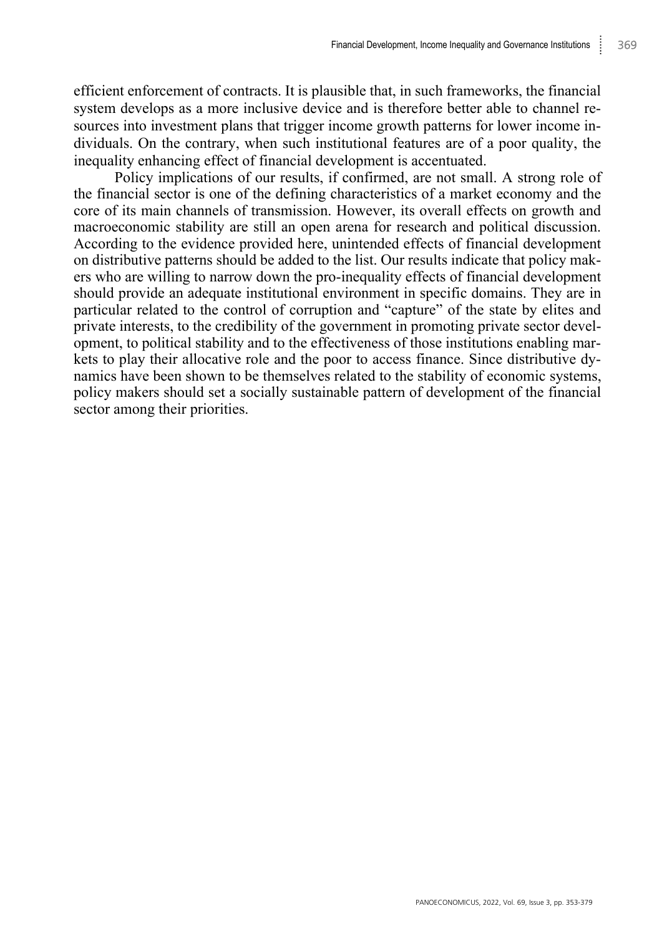efficient enforcement of contracts. It is plausible that, in such frameworks, the financial system develops as a more inclusive device and is therefore better able to channel resources into investment plans that trigger income growth patterns for lower income individuals. On the contrary, when such institutional features are of a poor quality, the inequality enhancing effect of financial development is accentuated.

Policy implications of our results, if confirmed, are not small. A strong role of the financial sector is one of the defining characteristics of a market economy and the core of its main channels of transmission. However, its overall effects on growth and macroeconomic stability are still an open arena for research and political discussion. According to the evidence provided here, unintended effects of financial development on distributive patterns should be added to the list. Our results indicate that policy makers who are willing to narrow down the pro-inequality effects of financial development should provide an adequate institutional environment in specific domains. They are in particular related to the control of corruption and "capture" of the state by elites and private interests, to the credibility of the government in promoting private sector development, to political stability and to the effectiveness of those institutions enabling markets to play their allocative role and the poor to access finance. Since distributive dynamics have been shown to be themselves related to the stability of economic systems, policy makers should set a socially sustainable pattern of development of the financial sector among their priorities.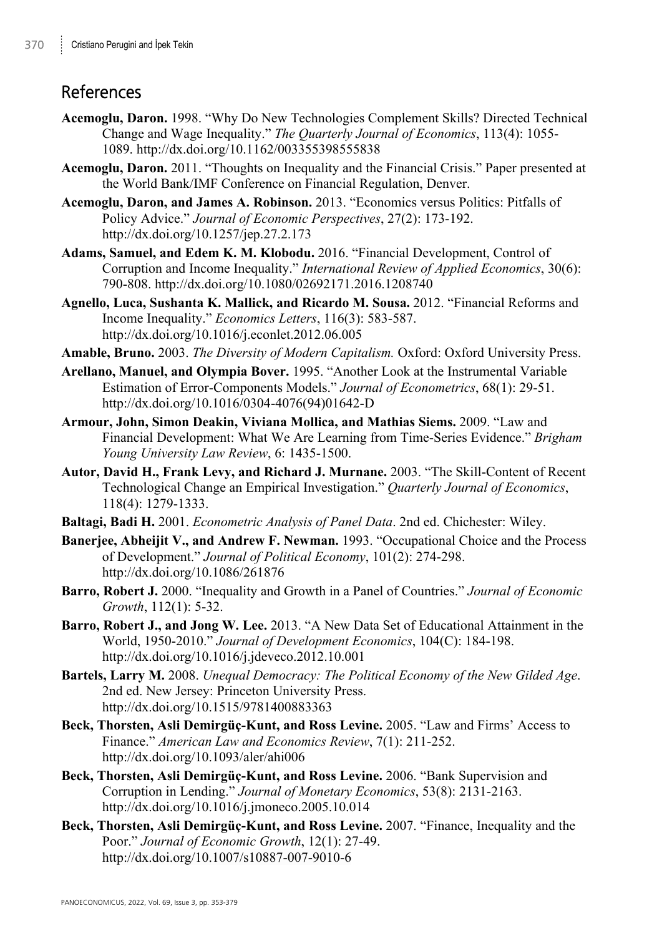# **References**

- **Acemoglu, Daron.** 1998. "Why Do New Technologies Complement Skills? Directed Technical Change and Wage Inequality." *The Quarterly Journal of Economics*, 113(4): 1055- 1089. http://dx.doi.org/10.1162/003355398555838
- **Acemoglu, Daron.** 2011. "Thoughts on Inequality and the Financial Crisis." Paper presented at the World Bank/IMF Conference on Financial Regulation, Denver.
- **Acemoglu, Daron, and James A. Robinson.** 2013. "Economics versus Politics: Pitfalls of Policy Advice." *Journal of Economic Perspectives*, 27(2): 173-192. http://dx.doi.org/10.1257/jep.27.2.173
- **Adams, Samuel, and Edem K. M. Klobodu.** 2016. "Financial Development, Control of Corruption and Income Inequality." *International Review of Applied Economics*, 30(6): 790-808. http://dx.doi.org/10.1080/02692171.2016.1208740
- **Agnello, Luca, Sushanta K. Mallick, and Ricardo M. Sousa.** 2012. "Financial Reforms and Income Inequality." *Economics Letters*, 116(3): 583-587. http://dx.doi.org/10.1016/j.econlet.2012.06.005
- **Amable, Bruno.** 2003. *The Diversity of Modern Capitalism.* Oxford: Oxford University Press.
- **Arellano, Manuel, and Olympia Bover.** 1995. "Another Look at the Instrumental Variable Estimation of Error-Components Models." *Journal of Econometrics*, 68(1): 29-51. http://dx.doi.org/10.1016/0304-4076(94)01642-D
- **Armour, John, Simon Deakin, Viviana Mollica, and Mathias Siems.** 2009. "Law and Financial Development: What We Are Learning from Time-Series Evidence." *Brigham Young University Law Review*, 6: 1435-1500.
- **Autor, David H., Frank Levy, and Richard J. Murnane.** 2003. "The Skill-Content of Recent Technological Change an Empirical Investigation." *Quarterly Journal of Economics*, 118(4): 1279-1333.
- **Baltagi, Badi H.** 2001. *Econometric Analysis of Panel Data*. 2nd ed. Chichester: Wiley.
- **Banerjee, Abheijit V., and Andrew F. Newman.** 1993. "Occupational Choice and the Process of Development." *Journal of Political Economy*, 101(2): 274-298. http://dx.doi.org/10.1086/261876
- **Barro, Robert J.** 2000. "Inequality and Growth in a Panel of Countries." *Journal of Economic Growth*, 112(1): 5-32.
- **Barro, Robert J., and Jong W. Lee.** 2013. "A New Data Set of Educational Attainment in the World, 1950-2010." *Journal of Development Economics*, 104(C): 184-198. http://dx.doi.org/10.1016/j.jdeveco.2012.10.001
- **Bartels, Larry M.** 2008. *Unequal Democracy: The Political Economy of the New Gilded Age*. 2nd ed. New Jersey: Princeton University Press. http://dx.doi.org/10.1515/9781400883363
- **Beck, Thorsten, Asli Demirgüç-Kunt, and Ross Levine.** 2005. "Law and Firms' Access to Finance." *American Law and Economics Review*, 7(1): 211-252. http://dx.doi.org/10.1093/aler/ahi006
- **Beck, Thorsten, Asli Demirgüç-Kunt, and Ross Levine.** 2006. "Bank Supervision and Corruption in Lending." *Journal of Monetary Economics*, 53(8): 2131-2163. http://dx.doi.org/10.1016/j.jmoneco.2005.10.014
- **Beck, Thorsten, Asli Demirgüç-Kunt, and Ross Levine.** 2007. "Finance, Inequality and the Poor." *Journal of Economic Growth*, 12(1): 27-49. http://dx.doi.org/10.1007/s10887-007-9010-6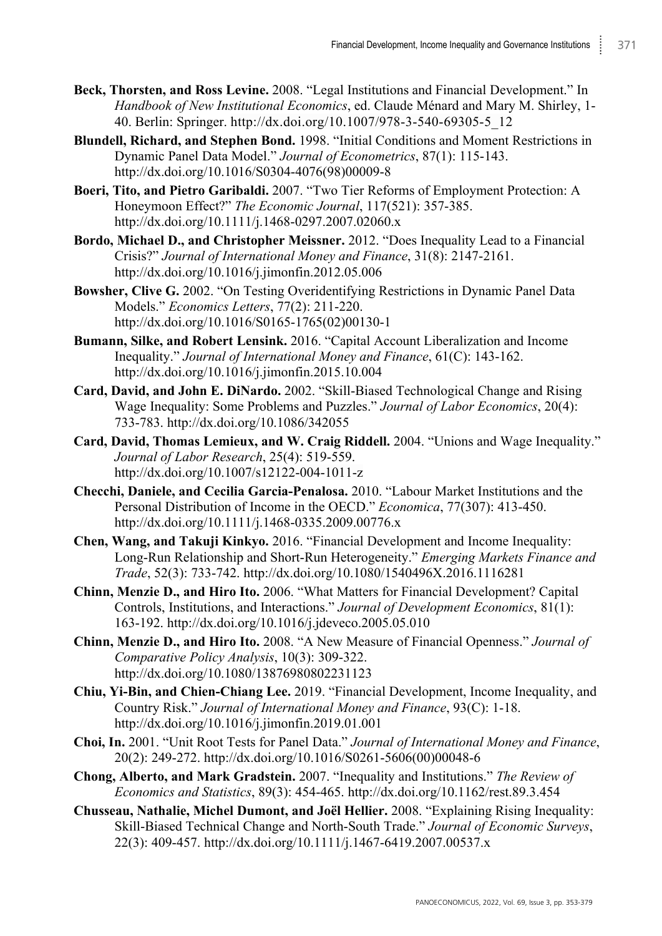- **Beck, Thorsten, and Ross Levine.** 2008. "Legal Institutions and Financial Development." In *Handbook of New Institutional Economics*, ed. Claude Ménard and Mary M. Shirley, 1- 40. Berlin: Springer. http://dx.doi.org/10.1007/978-3-540-69305-5\_12
- **Blundell, Richard, and Stephen Bond.** 1998. "Initial Conditions and Moment Restrictions in Dynamic Panel Data Model." *Journal of Econometrics*, 87(1): 115-143. http://dx.doi.org/10.1016/S0304-4076(98)00009-8
- **Boeri, Tito, and Pietro Garibaldi.** 2007. "Two Tier Reforms of Employment Protection: A Honeymoon Effect?" *The Economic Journal*, 117(521): 357-385. http://dx.doi.org/10.1111/j.1468-0297.2007.02060.x
- **Bordo, Michael D., and Christopher Meissner.** 2012. "Does Inequality Lead to a Financial Crisis?" *Journal of International Money and Finance*, 31(8): 2147-2161. http://dx.doi.org/10.1016/j.jimonfin.2012.05.006
- **Bowsher, Clive G.** 2002. "On Testing Overidentifying Restrictions in Dynamic Panel Data Models." *Economics Letters*, 77(2): 211-220. http://dx.doi.org/10.1016/S0165-1765(02)00130-1
- **Bumann, Silke, and Robert Lensink.** 2016. "Capital Account Liberalization and Income Inequality." *Journal of International Money and Finance*, 61(C): 143-162. http://dx.doi.org/10.1016/j.jimonfin.2015.10.004
- **Card, David, and John E. DiNardo.** 2002. "Skill-Biased Technological Change and Rising Wage Inequality: Some Problems and Puzzles." *Journal of Labor Economics*, 20(4): 733-783. http://dx.doi.org/10.1086/342055
- **Card, David, Thomas Lemieux, and W. Craig Riddell.** 2004. "Unions and Wage Inequality." *Journal of Labor Research*, 25(4): 519-559. http://dx.doi.org/10.1007/s12122-004-1011-z
- **Checchi, Daniele, and Cecilia Garcia-Penalosa.** 2010. "Labour Market Institutions and the Personal Distribution of Income in the OECD." *Economica*, 77(307): 413-450. http://dx.doi.org/10.1111/j.1468-0335.2009.00776.x
- **Chen, Wang, and Takuji Kinkyo.** 2016. "Financial Development and Income Inequality: Long-Run Relationship and Short-Run Heterogeneity." *Emerging Markets Finance and Trade*, 52(3): 733-742. http://dx.doi.org/10.1080/1540496X.2016.1116281
- **Chinn, Menzie D., and Hiro Ito.** 2006. "What Matters for Financial Development? Capital Controls, Institutions, and Interactions." *Journal of Development Economics*, 81(1): 163-192. http://dx.doi.org/10.1016/j.jdeveco.2005.05.010
- **Chinn, Menzie D., and Hiro Ito.** 2008. "A New Measure of Financial Openness." *Journal of Comparative Policy Analysis*, 10(3): 309-322. http://dx.doi.org/10.1080/13876980802231123
- **Chiu, Yi-Bin, and Chien-Chiang Lee.** 2019. "Financial Development, Income Inequality, and Country Risk." *Journal of International Money and Finance*, 93(C): 1-18. http://dx.doi.org/10.1016/j.jimonfin.2019.01.001
- **Choi, In.** 2001. "Unit Root Tests for Panel Data." *Journal of International Money and Finance*, 20(2): 249-272. http://dx.doi.org/10.1016/S0261-5606(00)00048-6
- **Chong, Alberto, and Mark Gradstein.** 2007. "Inequality and Institutions." *The Review of Economics and Statistics*, 89(3): 454-465. http://dx.doi.org/10.1162/rest.89.3.454
- **Chusseau, Nathalie, Michel Dumont, and Joël Hellier.** 2008. "Explaining Rising Inequality: Skill-Biased Technical Change and North-South Trade." *Journal of Economic Surveys*, 22(3): 409-457. http://dx.doi.org/10.1111/j.1467-6419.2007.00537.x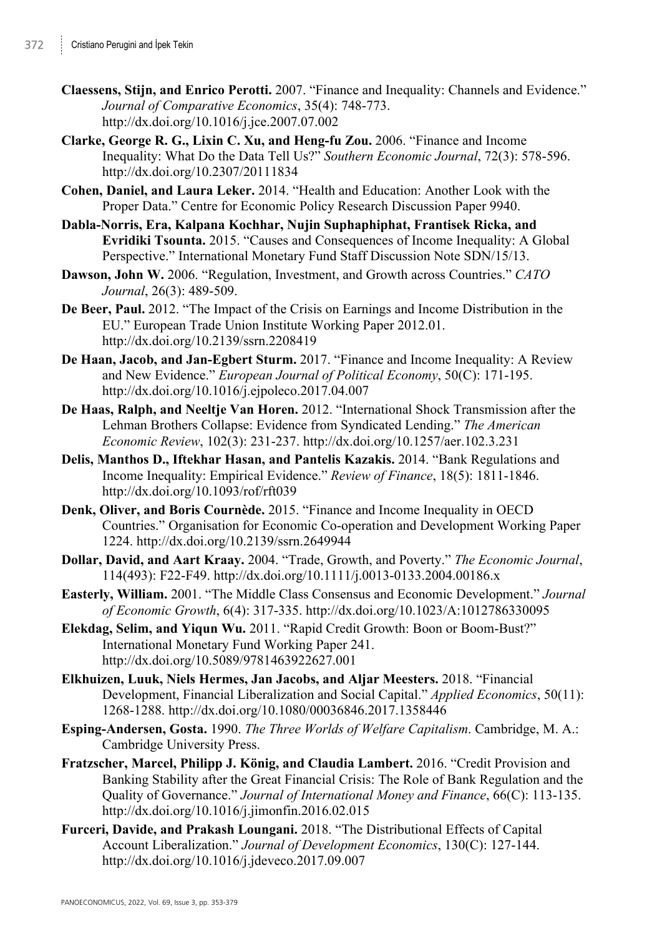- **Claessens, Stijn, and Enrico Perotti.** 2007. "Finance and Inequality: Channels and Evidence." *Journal of Comparative Economics*, 35(4): 748-773. http://dx.doi.org/10.1016/j.jce.2007.07.002
- **Clarke, George R. G., Lixin C. Xu, and Heng-fu Zou.** 2006. "Finance and Income Inequality: What Do the Data Tell Us?" *Southern Economic Journal*, 72(3): 578-596. http://dx.doi.org/10.2307/20111834
- **Cohen, Daniel, and Laura Leker.** 2014. "Health and Education: Another Look with the Proper Data." Centre for Economic Policy Research Discussion Paper 9940.
- **Dabla-Norris, Era, Kalpana Kochhar, Nujin Suphaphiphat, Frantisek Ricka, and Evridiki Tsounta.** 2015. "Causes and Consequences of Income Inequality: A Global Perspective." International Monetary Fund Staff Discussion Note SDN/15/13.
- **Dawson, John W.** 2006. "Regulation, Investment, and Growth across Countries." *CATO Journal*, 26(3): 489-509.
- **De Beer, Paul.** 2012. "The Impact of the Crisis on Earnings and Income Distribution in the EU." European Trade Union Institute Working Paper 2012.01. http://dx.doi.org/10.2139/ssrn.2208419
- **De Haan, Jacob, and Jan-Egbert Sturm.** 2017. "Finance and Income Inequality: A Review and New Evidence." *European Journal of Political Economy*, 50(C): 171-195. http://dx.doi.org/10.1016/j.ejpoleco.2017.04.007
- **De Haas, Ralph, and Neeltje Van Horen.** 2012. "International Shock Transmission after the Lehman Brothers Collapse: Evidence from Syndicated Lending." *The American Economic Review*, 102(3): 231-237. http://dx.doi.org/10.1257/aer.102.3.231
- **Delis, Manthos D., Iftekhar Hasan, and Pantelis Kazakis.** 2014. "Bank Regulations and Income Inequality: Empirical Evidence." *Review of Finance*, 18(5): 1811-1846. http://dx.doi.org/10.1093/rof/rft039
- **Denk, Oliver, and Boris Cournède.** 2015. "Finance and Income Inequality in OECD Countries." Organisation for Economic Co-operation and Development Working Paper 1224. http://dx.doi.org/10.2139/ssrn.2649944
- **Dollar, David, and Aart Kraay.** 2004. "Trade, Growth, and Poverty." *The Economic Journal*, 114(493): F22-F49. http://dx.doi.org/10.1111/j.0013-0133.2004.00186.x
- **Easterly, William.** 2001. "The Middle Class Consensus and Economic Development." *Journal of Economic Growth*, 6(4): 317-335. http://dx.doi.org/10.1023/A:1012786330095
- **Elekdag, Selim, and Yiqun Wu.** 2011. "Rapid Credit Growth: Boon or Boom-Bust?" International Monetary Fund Working Paper 241. http://dx.doi.org/10.5089/9781463922627.001
- **Elkhuizen, Luuk, Niels Hermes, Jan Jacobs, and Aljar Meesters.** 2018. "Financial Development, Financial Liberalization and Social Capital." *Applied Economics*, 50(11): 1268-1288. http://dx.doi.org/10.1080/00036846.2017.1358446
- **Esping-Andersen, Gosta.** 1990. *The Three Worlds of Welfare Capitalism*. Cambridge, M. A.: Cambridge University Press.
- **Fratzscher, Marcel, Philipp J. König, and Claudia Lambert.** 2016. "Credit Provision and Banking Stability after the Great Financial Crisis: The Role of Bank Regulation and the Quality of Governance." *Journal of International Money and Finance*, 66(C): 113-135. http://dx.doi.org/10.1016/j.jimonfin.2016.02.015
- **Furceri, Davide, and Prakash Loungani.** 2018. "The Distributional Effects of Capital Account Liberalization." *Journal of Development Economics*, 130(C): 127-144. http://dx.doi.org/10.1016/j.jdeveco.2017.09.007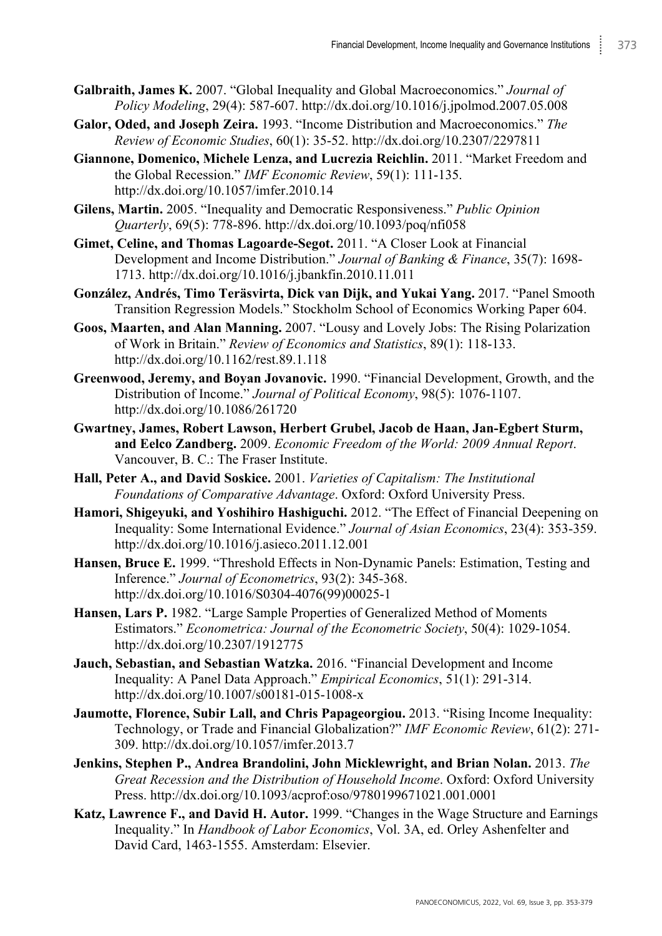- **Galbraith, James K.** 2007. "Global Inequality and Global Macroeconomics." *Journal of Policy Modeling*, 29(4): 587-607. http://dx.doi.org/10.1016/j.jpolmod.2007.05.008
- **Galor, Oded, and Joseph Zeira.** 1993. "Income Distribution and Macroeconomics." *The Review of Economic Studies*, 60(1): 35-52. http://dx.doi.org/10.2307/2297811
- **Giannone, Domenico, Michele Lenza, and Lucrezia Reichlin.** 2011. "Market Freedom and the Global Recession." *IMF Economic Review*, 59(1): 111-135. http://dx.doi.org/10.1057/imfer.2010.14
- **Gilens, Martin.** 2005. "Inequality and Democratic Responsiveness." *Public Opinion Quarterly*, 69(5): 778-896. http://dx.doi.org/10.1093/poq/nfi058
- **Gimet, Celine, and Thomas Lagoarde-Segot.** 2011. "A Closer Look at Financial Development and Income Distribution." *Journal of Banking & Finance*, 35(7): 1698- 1713. http://dx.doi.org/10.1016/j.jbankfin.2010.11.011
- **González, Andrés, Timo Teräsvirta, Dick van Dijk, and Yukai Yang.** 2017. "Panel Smooth Transition Regression Models." Stockholm School of Economics Working Paper 604.
- **Goos, Maarten, and Alan Manning.** 2007. "Lousy and Lovely Jobs: The Rising Polarization of Work in Britain." *Review of Economics and Statistics*, 89(1): 118-133. http://dx.doi.org/10.1162/rest.89.1.118
- **Greenwood, Jeremy, and Boyan Jovanovic.** 1990. "Financial Development, Growth, and the Distribution of Income." *Journal of Political Economy*, 98(5): 1076-1107. http://dx.doi.org/10.1086/261720
- **Gwartney, James, Robert Lawson, Herbert Grubel, Jacob de Haan, Jan-Egbert Sturm, and Eelco Zandberg.** 2009. *Economic Freedom of the World: 2009 Annual Report*. Vancouver, B. C.: The Fraser Institute.
- **Hall, Peter A., and David Soskice.** 2001. *Varieties of Capitalism: The Institutional Foundations of Comparative Advantage*. Oxford: Oxford University Press.
- **Hamori, Shigeyuki, and Yoshihiro Hashiguchi.** 2012. "The Effect of Financial Deepening on Inequality: Some International Evidence." *Journal of Asian Economics*, 23(4): 353-359. http://dx.doi.org/10.1016/j.asieco.2011.12.001
- **Hansen, Bruce E.** 1999. "Threshold Effects in Non-Dynamic Panels: Estimation, Testing and Inference." *Journal of Econometrics*, 93(2): 345-368. http://dx.doi.org/10.1016/S0304-4076(99)00025-1
- **Hansen, Lars P.** 1982. "Large Sample Properties of Generalized Method of Moments Estimators." *Econometrica: Journal of the Econometric Society*, 50(4): 1029-1054. http://dx.doi.org/10.2307/1912775
- **Jauch, Sebastian, and Sebastian Watzka.** 2016. "Financial Development and Income Inequality: A Panel Data Approach." *Empirical Economics*, 51(1): 291-314. http://dx.doi.org/10.1007/s00181-015-1008-x
- **Jaumotte, Florence, Subir Lall, and Chris Papageorgiou.** 2013. "Rising Income Inequality: Technology, or Trade and Financial Globalization?" *IMF Economic Review*, 61(2): 271- 309. http://dx.doi.org/10.1057/imfer.2013.7
- **Jenkins, Stephen P., Andrea Brandolini, John Micklewright, and Brian Nolan.** 2013. *The Great Recession and the Distribution of Household Income*. Oxford: Oxford University Press. http://dx.doi.org/10.1093/acprof:oso/9780199671021.001.0001
- **Katz, Lawrence F., and David H. Autor.** 1999. "Changes in the Wage Structure and Earnings Inequality." In *Handbook of Labor Economics*, Vol. 3A, ed. Orley Ashenfelter and David Card, 1463-1555. Amsterdam: Elsevier.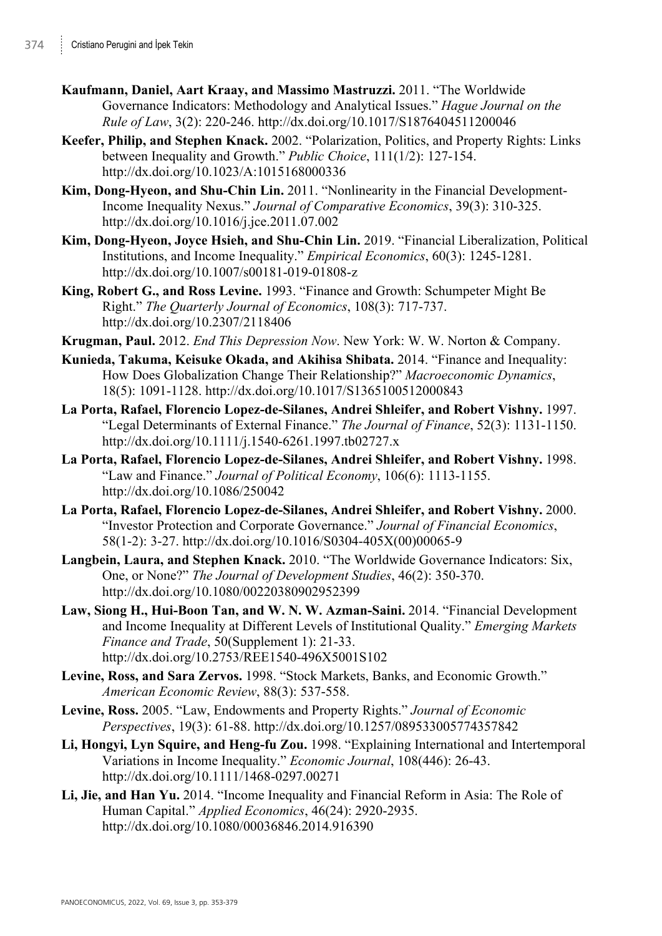- **Kaufmann, Daniel, Aart Kraay, and Massimo Mastruzzi.** 2011. "The Worldwide Governance Indicators: Methodology and Analytical Issues." *Hague Journal on the Rule of Law*, 3(2): 220-246. http://dx.doi.org/10.1017/S1876404511200046
- **Keefer, Philip, and Stephen Knack.** 2002. "Polarization, Politics, and Property Rights: Links between Inequality and Growth." *Public Choice*, 111(1/2): 127-154. http://dx.doi.org/10.1023/A:1015168000336
- **Kim, Dong-Hyeon, and Shu-Chin Lin.** 2011. "Nonlinearity in the Financial Development-Income Inequality Nexus." *Journal of Comparative Economics*, 39(3): 310-325. http://dx.doi.org/10.1016/j.jce.2011.07.002
- **Kim, Dong-Hyeon, Joyce Hsieh, and Shu-Chin Lin.** 2019. "Financial Liberalization, Political Institutions, and Income Inequality." *Empirical Economics*, 60(3): 1245-1281. http://dx.doi.org/10.1007/s00181-019-01808-z
- **King, Robert G., and Ross Levine.** 1993. "Finance and Growth: Schumpeter Might Be Right." *The Quarterly Journal of Economics*, 108(3): 717-737. http://dx.doi.org/10.2307/2118406
- **Krugman, Paul.** 2012. *End This Depression Now*. New York: W. W. Norton & Company.
- **Kunieda, Takuma, Keisuke Okada, and Akihisa Shibata.** 2014. "Finance and Inequality: How Does Globalization Change Their Relationship?" *Macroeconomic Dynamics*, 18(5): 1091-1128. http://dx.doi.org/10.1017/S1365100512000843
- **La Porta, Rafael, Florencio Lopez-de-Silanes, Andrei Shleifer, and Robert Vishny.** 1997. "Legal Determinants of External Finance." *The Journal of Finance*, 52(3): 1131-1150. http://dx.doi.org/10.1111/j.1540-6261.1997.tb02727.x
- **La Porta, Rafael, Florencio Lopez-de-Silanes, Andrei Shleifer, and Robert Vishny.** 1998. "Law and Finance." *Journal of Political Economy*, 106(6): 1113-1155. http://dx.doi.org/10.1086/250042
- **La Porta, Rafael, Florencio Lopez-de-Silanes, Andrei Shleifer, and Robert Vishny.** 2000. "Investor Protection and Corporate Governance." *Journal of Financial Economics*, 58(1-2): 3-27. http://dx.doi.org/10.1016/S0304-405X(00)00065-9
- **Langbein, Laura, and Stephen Knack.** 2010. "The Worldwide Governance Indicators: Six, One, or None?" *The Journal of Development Studies*, 46(2): 350-370. http://dx.doi.org/10.1080/00220380902952399
- **Law, Siong H., Hui-Boon Tan, and W. N. W. Azman-Saini.** 2014. "Financial Development and Income Inequality at Different Levels of Institutional Quality." *Emerging Markets Finance and Trade*, 50(Supplement 1): 21-33. http://dx.doi.org/10.2753/REE1540-496X5001S102
- **Levine, Ross, and Sara Zervos.** 1998. "Stock Markets, Banks, and Economic Growth." *American Economic Review*, 88(3): 537-558.
- **Levine, Ross.** 2005. "Law, Endowments and Property Rights." *Journal of Economic Perspectives*, 19(3): 61-88. http://dx.doi.org/10.1257/089533005774357842
- **Li, Hongyi, Lyn Squire, and Heng-fu Zou.** 1998. "Explaining International and Intertemporal Variations in Income Inequality." *Economic Journal*, 108(446): 26-43. http://dx.doi.org/10.1111/1468-0297.00271
- **Li, Jie, and Han Yu.** 2014. "Income Inequality and Financial Reform in Asia: The Role of Human Capital." *Applied Economics*, 46(24): 2920-2935. http://dx.doi.org/10.1080/00036846.2014.916390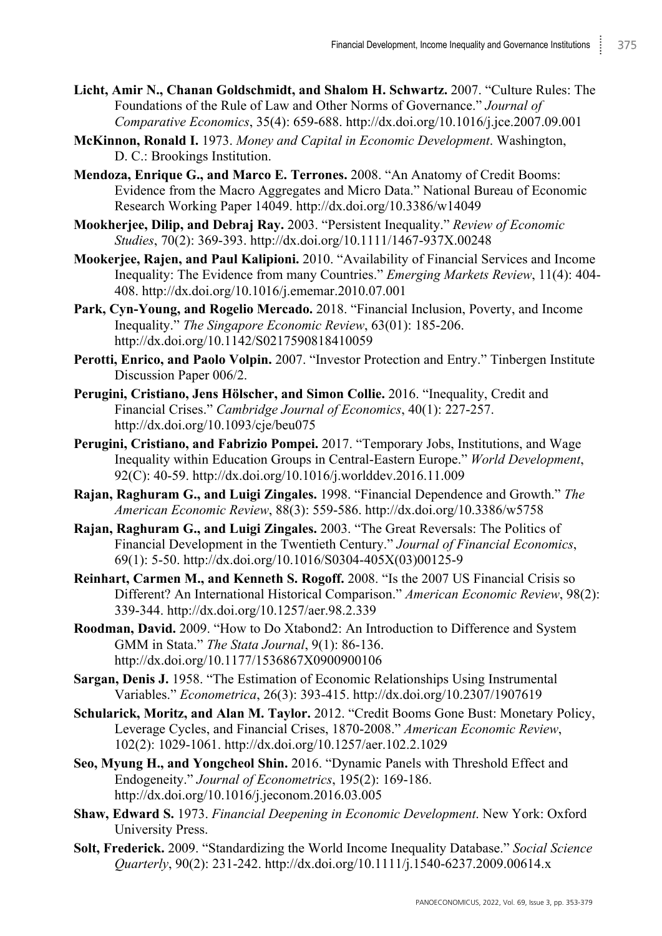- **Licht, Amir N., Chanan Goldschmidt, and Shalom H. Schwartz.** 2007. "Culture Rules: The Foundations of the Rule of Law and Other Norms of Governance." *Journal of Comparative Economics*, 35(4): 659-688. http://dx.doi.org/10.1016/j.jce.2007.09.001
- **McKinnon, Ronald I.** 1973. *Money and Capital in Economic Development*. Washington, D. C.: Brookings Institution.
- **Mendoza, Enrique G., and Marco E. Terrones.** 2008. "An Anatomy of Credit Booms: Evidence from the Macro Aggregates and Micro Data." National Bureau of Economic Research Working Paper 14049. http://dx.doi.org/10.3386/w14049
- **Mookherjee, Dilip, and Debraj Ray.** 2003. "Persistent Inequality." *Review of Economic Studies*, 70(2): 369-393. http://dx.doi.org/10.1111/1467-937X.00248
- **Mookerjee, Rajen, and Paul Kalipioni.** 2010. "Availability of Financial Services and Income Inequality: The Evidence from many Countries." *Emerging Markets Review*, 11(4): 404- 408. http://dx.doi.org/10.1016/j.ememar.2010.07.001
- **Park, Cyn-Young, and Rogelio Mercado.** 2018. "Financial Inclusion, Poverty, and Income Inequality." *The Singapore Economic Review*, 63(01): 185-206. http://dx.doi.org/10.1142/S0217590818410059
- **Perotti, Enrico, and Paolo Volpin.** 2007. "Investor Protection and Entry." Tinbergen Institute Discussion Paper 006/2.
- **Perugini, Cristiano, Jens Hölscher, and Simon Collie.** 2016. "Inequality, Credit and Financial Crises." *Cambridge Journal of Economics*, 40(1): 227-257. http://dx.doi.org/10.1093/cje/beu075
- **Perugini, Cristiano, and Fabrizio Pompei.** 2017. "Temporary Jobs, Institutions, and Wage Inequality within Education Groups in Central-Eastern Europe." *World Development*,  $92(\hat{C})$ : 40-59. http://dx.doi.org/10.1016/j.worlddev.2016.11.009
- **Rajan, Raghuram G., and Luigi Zingales.** 1998. "Financial Dependence and Growth." *The American Economic Review*, 88(3): 559-586. http://dx.doi.org/10.3386/w5758
- **Rajan, Raghuram G., and Luigi Zingales.** 2003. "The Great Reversals: The Politics of Financial Development in the Twentieth Century." *Journal of Financial Economics*, 69(1): 5-50. http://dx.doi.org/10.1016/S0304-405X(03)00125-9
- **Reinhart, Carmen M., and Kenneth S. Rogoff.** 2008. "Is the 2007 US Financial Crisis so Different? An International Historical Comparison." *American Economic Review*, 98(2): 339-344. http://dx.doi.org/10.1257/aer.98.2.339
- **Roodman, David.** 2009. "How to Do Xtabond2: An Introduction to Difference and System GMM in Stata." *The Stata Journal*, 9(1): 86-136. http://dx.doi.org/10.1177/1536867X0900900106
- **Sargan, Denis J.** 1958. "The Estimation of Economic Relationships Using Instrumental Variables." *Econometrica*, 26(3): 393-415. http://dx.doi.org/10.2307/1907619
- **Schularick, Moritz, and Alan M. Taylor.** 2012. "Credit Booms Gone Bust: Monetary Policy, Leverage Cycles, and Financial Crises, 1870-2008." *American Economic Review*, 102(2): 1029-1061. http://dx.doi.org/10.1257/aer.102.2.1029
- **Seo, Myung H., and Yongcheol Shin.** 2016. "Dynamic Panels with Threshold Effect and Endogeneity." *Journal of Econometrics*, 195(2): 169-186. http://dx.doi.org/10.1016/j.jeconom.2016.03.005
- **Shaw, Edward S.** 1973. *Financial Deepening in Economic Development*. New York: Oxford University Press.
- **Solt, Frederick.** 2009. "Standardizing the World Income Inequality Database." *Social Science Quarterly*, 90(2): 231-242. http://dx.doi.org/10.1111/j.1540-6237.2009.00614.x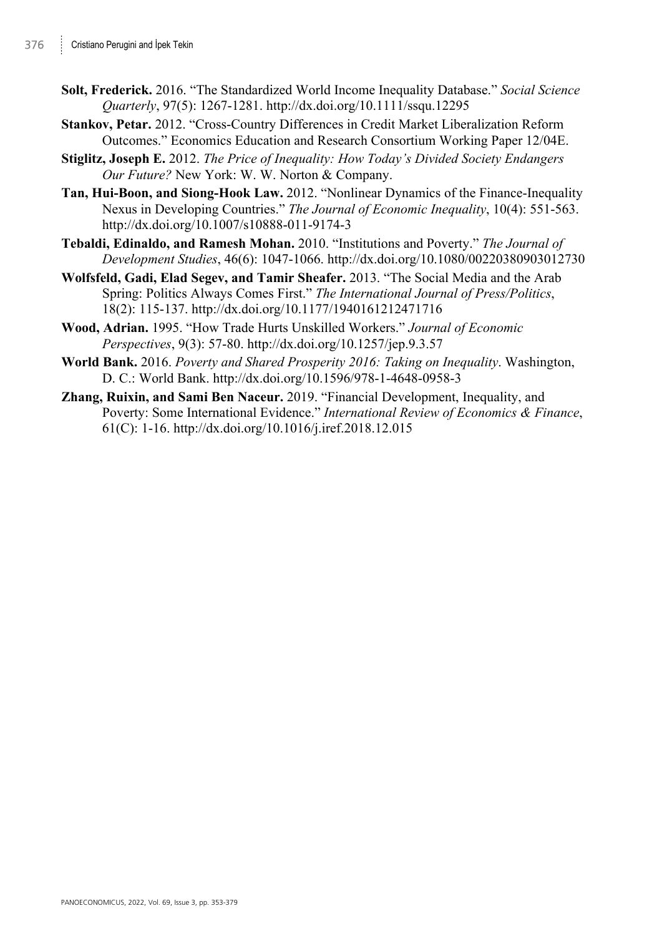- **Solt, Frederick.** 2016. "The Standardized World Income Inequality Database." *Social Science Quarterly*, 97(5): 1267-1281. http://dx.doi.org/10.1111/ssqu.12295
- **Stankov, Petar.** 2012. "Cross-Country Differences in Credit Market Liberalization Reform Outcomes." Economics Education and Research Consortium Working Paper 12/04E.
- **Stiglitz, Joseph E.** 2012. *The Price of Inequality: How Today's Divided Society Endangers Our Future?* New York: W. W. Norton & Company.
- **Tan, Hui-Boon, and Siong-Hook Law.** 2012. "Nonlinear Dynamics of the Finance-Inequality Nexus in Developing Countries." *The Journal of Economic Inequality*, 10(4): 551-563. http://dx.doi.org/10.1007/s10888-011-9174-3
- **Tebaldi, Edinaldo, and Ramesh Mohan.** 2010. "Institutions and Poverty." *The Journal of Development Studies*, 46(6): 1047-1066. http://dx.doi.org/10.1080/00220380903012730
- **Wolfsfeld, Gadi, Elad Segev, and Tamir Sheafer.** 2013. "The Social Media and the Arab Spring: Politics Always Comes First." *The International Journal of Press/Politics*, 18(2): 115-137. http://dx.doi.org/10.1177/1940161212471716
- **Wood, Adrian.** 1995. "How Trade Hurts Unskilled Workers." *Journal of Economic Perspectives*, 9(3): 57-80. http://dx.doi.org/10.1257/jep.9.3.57
- **World Bank.** 2016. *Poverty and Shared Prosperity 2016: Taking on Inequality*. Washington, D. C.: World Bank. http://dx.doi.org/10.1596/978-1-4648-0958-3
- **Zhang, Ruixin, and Sami Ben Naceur.** 2019. "Financial Development, Inequality, and Poverty: Some International Evidence." *International Review of Economics & Finance*, 61(C): 1-16. http://dx.doi.org/10.1016/j.iref.2018.12.015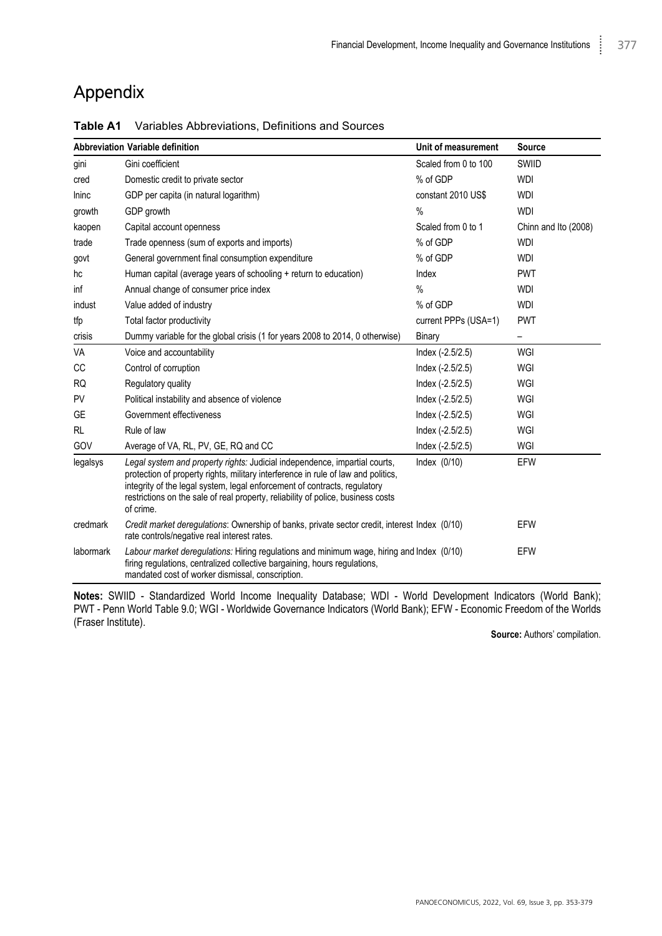# Appendix

|           | Abbreviation Variable definition                                                                                                                                                                                                                                                                                                              | Unit of measurement  | Source                   |
|-----------|-----------------------------------------------------------------------------------------------------------------------------------------------------------------------------------------------------------------------------------------------------------------------------------------------------------------------------------------------|----------------------|--------------------------|
| gini      | Gini coefficient                                                                                                                                                                                                                                                                                                                              | Scaled from 0 to 100 | SWIID                    |
| cred      | Domestic credit to private sector                                                                                                                                                                                                                                                                                                             | % of GDP             | <b>WDI</b>               |
| Ininc     | GDP per capita (in natural logarithm)                                                                                                                                                                                                                                                                                                         | constant 2010 US\$   | <b>WDI</b>               |
| growth    | GDP growth                                                                                                                                                                                                                                                                                                                                    | %                    | <b>WDI</b>               |
| kaopen    | Capital account openness                                                                                                                                                                                                                                                                                                                      | Scaled from 0 to 1   | Chinn and Ito (2008)     |
| trade     | Trade openness (sum of exports and imports)                                                                                                                                                                                                                                                                                                   | % of GDP             | <b>WDI</b>               |
| govt      | General government final consumption expenditure                                                                                                                                                                                                                                                                                              | % of GDP             | <b>WDI</b>               |
| hc        | Human capital (average years of schooling + return to education)                                                                                                                                                                                                                                                                              | Index                | <b>PWT</b>               |
| inf       | Annual change of consumer price index                                                                                                                                                                                                                                                                                                         | %                    | <b>WDI</b>               |
| indust    | Value added of industry                                                                                                                                                                                                                                                                                                                       | % of GDP             | <b>WDI</b>               |
| tfp       | Total factor productivity                                                                                                                                                                                                                                                                                                                     | current PPPs (USA=1) | <b>PWT</b>               |
| crisis    | Dummy variable for the global crisis (1 for years 2008 to 2014, 0 otherwise)                                                                                                                                                                                                                                                                  | Binary               | $\overline{\phantom{0}}$ |
| VA        | Voice and accountability                                                                                                                                                                                                                                                                                                                      | Index (-2.5/2.5)     | WGI                      |
| <b>CC</b> | Control of corruption                                                                                                                                                                                                                                                                                                                         | Index (-2.5/2.5)     | WGI                      |
| <b>RQ</b> | Regulatory quality                                                                                                                                                                                                                                                                                                                            | $Index (-2.5/2.5)$   | WGI                      |
| PV        | Political instability and absence of violence                                                                                                                                                                                                                                                                                                 | $Index (-2.5/2.5)$   | WGI                      |
| GE        | Government effectiveness                                                                                                                                                                                                                                                                                                                      | Index (-2.5/2.5)     | WGI                      |
| <b>RL</b> | Rule of law                                                                                                                                                                                                                                                                                                                                   | Index $(-2.5/2.5)$   | WGI                      |
| GOV       | Average of VA, RL, PV, GE, RQ and CC                                                                                                                                                                                                                                                                                                          | Index (-2.5/2.5)     | WGI                      |
| legalsys  | Legal system and property rights: Judicial independence, impartial courts,<br>protection of property rights, military interference in rule of law and politics,<br>integrity of the legal system, legal enforcement of contracts, regulatory<br>restrictions on the sale of real property, reliability of police, business costs<br>of crime. | Index $(0/10)$       | EFW                      |
| credmark  | Credit market deregulations: Ownership of banks, private sector credit, interest Index (0/10)<br>rate controls/negative real interest rates.                                                                                                                                                                                                  |                      | EFW                      |
| labormark | Labour market deregulations: Hiring regulations and minimum wage, hiring and Index (0/10)<br>firing regulations, centralized collective bargaining, hours regulations,<br>mandated cost of worker dismissal, conscription.                                                                                                                    |                      | <b>EFW</b>               |

**Table A1** Variables Abbreviations, Definitions and Sources

**Notes:** SWIID - Standardized World Income Inequality Database; WDI - World Development Indicators (World Bank); PWT - Penn World Table 9.0; WGI - Worldwide Governance Indicators (World Bank); EFW - Economic Freedom of the Worlds (Fraser Institute).

**Source:** Authors' compilation.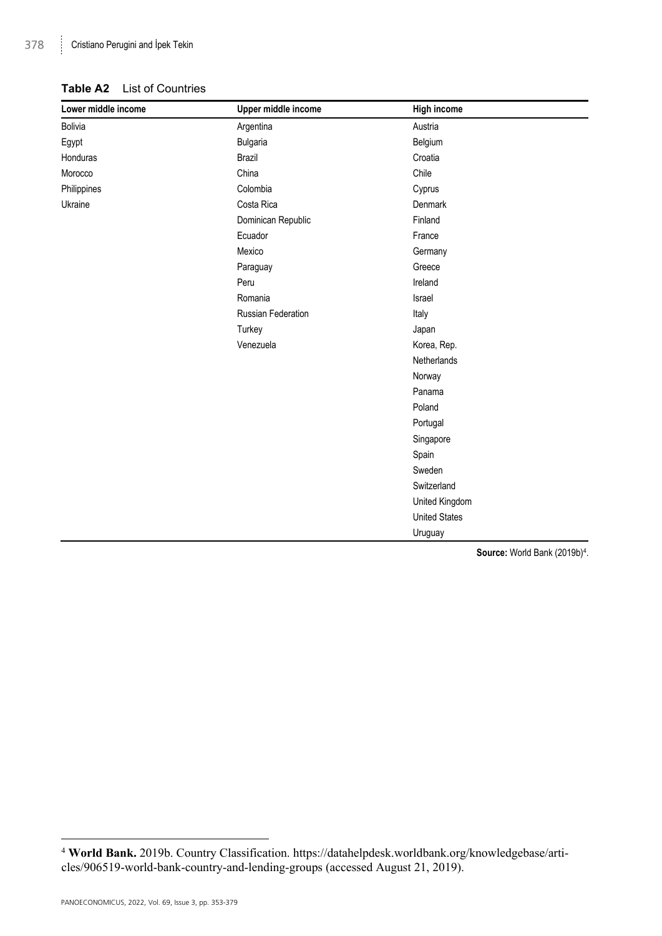#### **Table A2** List of Countries

| Lower middle income | Upper middle income | <b>High income</b>   |  |
|---------------------|---------------------|----------------------|--|
| Bolivia             | Argentina           | Austria              |  |
| Egypt               | Bulgaria            | Belgium              |  |
| Honduras            | Brazil              | Croatia              |  |
| Morocco             | China               | Chile                |  |
| Philippines         | Colombia            | Cyprus               |  |
| Ukraine             | Costa Rica          | Denmark              |  |
|                     | Dominican Republic  | Finland              |  |
|                     | Ecuador             | France               |  |
|                     | Mexico              | Germany              |  |
|                     | Paraguay            | Greece               |  |
|                     | Peru                | Ireland              |  |
|                     | Romania             | Israel               |  |
|                     | Russian Federation  | Italy                |  |
|                     | Turkey              | Japan                |  |
|                     | Venezuela           | Korea, Rep.          |  |
|                     |                     | Netherlands          |  |
|                     |                     | Norway               |  |
|                     |                     | Panama               |  |
|                     |                     | Poland               |  |
|                     |                     | Portugal             |  |
|                     |                     | Singapore            |  |
|                     |                     | Spain                |  |
|                     |                     | Sweden               |  |
|                     |                     | Switzerland          |  |
|                     |                     | United Kingdom       |  |
|                     |                     | <b>United States</b> |  |
|                     |                     | Uruguay              |  |

Source: World Bank (2019b)<sup>4</sup>.

<sup>4</sup> **World Bank.** 2019b. Country Classification. https://datahelpdesk.worldbank.org/knowledgebase/articles/906519-world-bank-country-and-lending-groups (accessed August 21, 2019).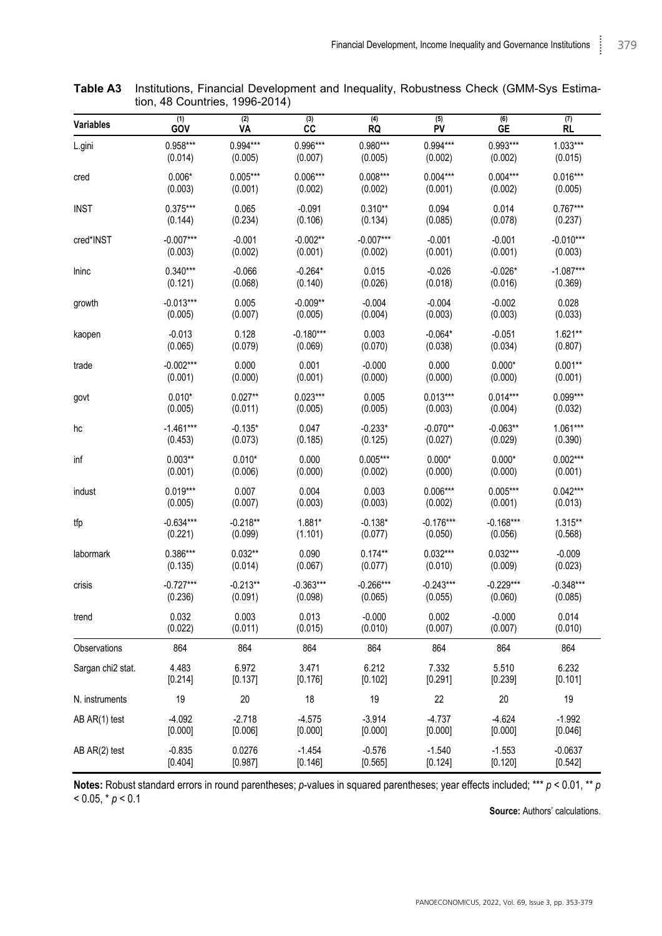| <b>Variables</b>  | (1)         | (2)        | (3)         | (4)         | (5)         | (6)         | (7)         |
|-------------------|-------------|------------|-------------|-------------|-------------|-------------|-------------|
|                   | GOV         | ٧A         | СC          | RQ          | PV          | GE          | <b>RL</b>   |
| L.gini            | $0.958***$  | $0.994***$ | 0.996***    | 0.980***    | $0.994***$  | 0.993***    | $1.033***$  |
|                   | (0.014)     | (0.005)    | (0.007)     | (0.005)     | (0.002)     | (0.002)     | (0.015)     |
| cred              | $0.006*$    | $0.005***$ | $0.006***$  | $0.008***$  | $0.004***$  | $0.004***$  | $0.016***$  |
|                   | (0.003)     | (0.001)    | (0.002)     | (0.002)     | (0.001)     | (0.002)     | (0.005)     |
| <b>INST</b>       | $0.375***$  | 0.065      | $-0.091$    | $0.310**$   | 0.094       | 0.014       | $0.767***$  |
|                   | (0.144)     | (0.234)    | (0.106)     | (0.134)     | (0.085)     | (0.078)     | (0.237)     |
| cred*INST         | $-0.007***$ | $-0.001$   | $-0.002**$  | $-0.007***$ | $-0.001$    | $-0.001$    | $-0.010***$ |
|                   | (0.003)     | (0.002)    | (0.001)     | (0.002)     | (0.001)     | (0.001)     | (0.003)     |
| Ininc             | $0.340***$  | $-0.066$   | $-0.264*$   | 0.015       | $-0.026$    | $-0.026*$   | $-1.087***$ |
|                   | (0.121)     | (0.068)    | (0.140)     | (0.026)     | (0.018)     | (0.016)     | (0.369)     |
| growth            | $-0.013***$ | 0.005      | $-0.009**$  | $-0.004$    | $-0.004$    | $-0.002$    | 0.028       |
|                   | (0.005)     | (0.007)    | (0.005)     | (0.004)     | (0.003)     | (0.003)     | (0.033)     |
| kaopen            | $-0.013$    | 0.128      | $-0.180***$ | 0.003       | $-0.064*$   | $-0.051$    | $1.621**$   |
|                   | (0.065)     | (0.079)    | (0.069)     | (0.070)     | (0.038)     | (0.034)     | (0.807)     |
| trade             | $-0.002***$ | 0.000      | 0.001       | $-0.000$    | 0.000       | $0.000*$    | $0.001**$   |
|                   | (0.001)     | (0.000)    | (0.001)     | (0.000)     | (0.000)     | (0.000)     | (0.001)     |
| govt              | $0.010*$    | $0.027**$  | $0.023***$  | 0.005       | $0.013***$  | $0.014***$  | $0.099***$  |
|                   | (0.005)     | (0.011)    | (0.005)     | (0.005)     | (0.003)     | (0.004)     | (0.032)     |
| hc                | $-1.461***$ | $-0.135*$  | 0.047       | $-0.233*$   | $-0.070**$  | $-0.063**$  | $1.061***$  |
|                   | (0.453)     | (0.073)    | (0.185)     | (0.125)     | (0.027)     | (0.029)     | (0.390)     |
| inf               | $0.003**$   | $0.010*$   | 0.000       | $0.005***$  | $0.000*$    | $0.000*$    | $0.002***$  |
|                   | (0.001)     | (0.006)    | (0.000)     | (0.002)     | (0.000)     | (0.000)     | (0.001)     |
| indust            | $0.019***$  | 0.007      | 0.004       | 0.003       | $0.006***$  | $0.005***$  | $0.042***$  |
|                   | (0.005)     | (0.007)    | (0.003)     | (0.003)     | (0.002)     | (0.001)     | (0.013)     |
| tfp               | $-0.634***$ | $-0.218**$ | 1.881*      | $-0.138*$   | $-0.176***$ | $-0.168***$ | $1.315***$  |
|                   | (0.221)     | (0.099)    | (1.101)     | (0.077)     | (0.050)     | (0.056)     | (0.568)     |
| labormark         | $0.386***$  | $0.032**$  | 0.090       | $0.174**$   | $0.032***$  | $0.032***$  | $-0.009$    |
|                   | (0.135)     | (0.014)    | (0.067)     | (0.077)     | (0.010)     | (0.009)     | (0.023)     |
| crisis            | $-0.727***$ | $-0.213**$ | $-0.363***$ | $-0.266***$ | $-0.243***$ | $-0.229***$ | $-0.348***$ |
|                   | (0.236)     | (0.091)    | (0.098)     | (0.065)     | (0.055)     | (0.060)     | (0.085)     |
| trend             | 0.032       | 0.003      | 0.013       | $-0.000$    | 0.002       | $-0.000$    | 0.014       |
|                   | (0.022)     | (0.011)    | (0.015)     | (0.010)     | (0.007)     | (0.007)     | (0.010)     |
| Observations      | 864         | 864        | 864         | 864         | 864         | 864         | 864         |
| Sargan chi2 stat. | 4.483       | 6.972      | 3.471       | 6.212       | 7.332       | 5.510       | 6.232       |
|                   | [0.214]     | [0.137]    | [0.176]     | [0.102]     | [0.291]     | [0.239]     | [0.101]     |
| N. instruments    | 19          | 20         | 18          | 19          | 22          | 20          | 19          |
| AB AR(1) test     | $-4.092$    | $-2.718$   | $-4.575$    | $-3.914$    | $-4.737$    | $-4.624$    | $-1.992$    |
|                   | [0.000]     | [0.006]    | [0.000]     | [0.000]     | [0.000]     | [0.000]     | [0.046]     |
| AB AR(2) test     | $-0.835$    | 0.0276     | $-1.454$    | $-0.576$    | $-1.540$    | $-1.553$    | $-0.0637$   |
|                   | [0.404]     | [0.987]    | [0.146]     | [0.565]     | [0.124]     | [0.120]     | [0.542]     |

**Table A3** Institutions, Financial Development and Inequality, Robustness Check (GMM-Sys Estimation, 48 Countries, 1996-2014)

**Notes:** Robust standard errors in round parentheses; *p*-values in squared parentheses; year effects included; \*\*\* *p* < 0.01, \*\* *p*  $< 0.05, * p < 0.1$ 

**Source:** Authors' calculations.